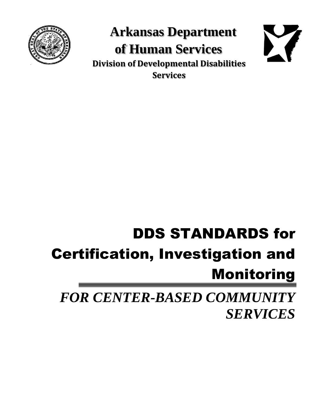

**Arkansas Department of Human Services Division of Developmental Disabilities Services**



# DDS STANDARDS for Certification, Investigation and Monitoring

*FOR CENTER-BASED COMMUNITY SERVICES*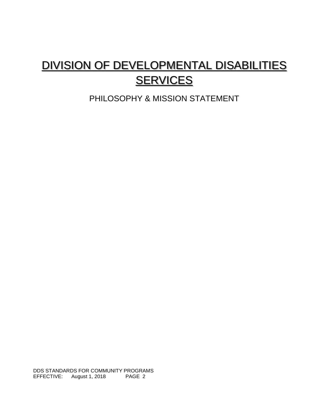# DIVISION OF DEVELOPMENTAL DISABILITIES **SERVICES**

PHILOSOPHY & MISSION STATEMENT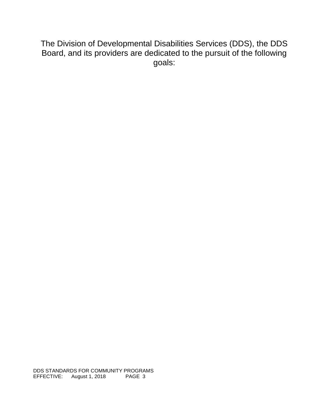The Division of Developmental Disabilities Services (DDS), the DDS Board, and its providers are dedicated to the pursuit of the following goals: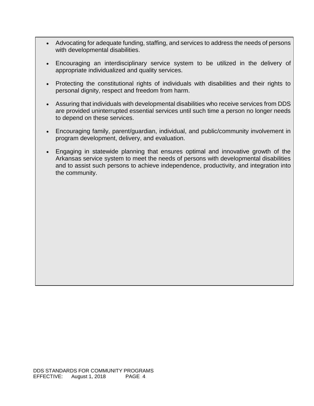- Advocating for adequate funding, staffing, and services to address the needs of persons with developmental disabilities.
- Encouraging an interdisciplinary service system to be utilized in the delivery of appropriate individualized and quality services.
- Protecting the constitutional rights of individuals with disabilities and their rights to personal dignity, respect and freedom from harm.
- Assuring that individuals with developmental disabilities who receive services from DDS are provided uninterrupted essential services until such time a person no longer needs to depend on these services.
- Encouraging family, parent/guardian, individual, and public/community involvement in program development, delivery, and evaluation.
- Engaging in statewide planning that ensures optimal and innovative growth of the Arkansas service system to meet the needs of persons with developmental disabilities and to assist such persons to achieve independence, productivity, and integration into the community.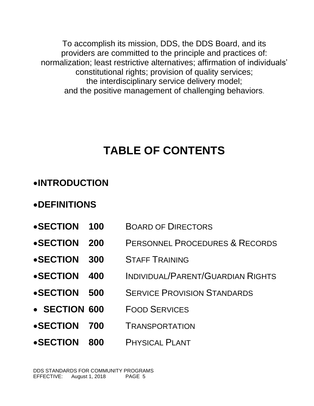To accomplish its mission, DDS, the DDS Board, and its providers are committed to the principle and practices of: normalization; least restrictive alternatives; affirmation of individuals' constitutional rights; provision of quality services; the interdisciplinary service delivery model; and the positive management of challenging behaviors.

# **TABLE OF CONTENTS**

# •**INTRODUCTION**

# •**DEFINITIONS**

- •**SECTION 100** BOARD OF DIRECTORS
- •**SECTION 200** PERSONNEL PROCEDURES & RECORDS
- •**SECTION 300** STAFF TRAINING
- •**SECTION 400** INDIVIDUAL/PARENT/GUARDIAN RIGHTS
- •**SECTION 500** SERVICE PROVISION STANDARDS
- **SECTION 600** FOOD SERVICES
- •**SECTION 700** TRANSPORTATION
- •**SECTION 800** PHYSICAL PLANT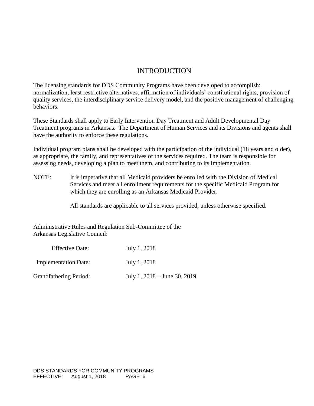### INTRODUCTION

The licensing standards for DDS Community Programs have been developed to accomplish: normalization, least restrictive alternatives, affirmation of individuals' constitutional rights, provision of quality services, the interdisciplinary service delivery model, and the positive management of challenging behaviors.

These Standards shall apply to Early Intervention Day Treatment and Adult Developmental Day Treatment programs in Arkansas. The Department of Human Services and its Divisions and agents shall have the authority to enforce these regulations.

Individual program plans shall be developed with the participation of the individual (18 years and older), as appropriate, the family, and representatives of the services required. The team is responsible for assessing needs, developing a plan to meet them, and contributing to its implementation.

NOTE: It is imperative that all Medicaid providers be enrolled with the Division of Medical Services and meet all enrollment requirements for the specific Medicaid Program for which they are enrolling as an Arkansas Medicaid Provider.

All standards are applicable to all services provided, unless otherwise specified.

Administrative Rules and Regulation Sub-Committee of the Arkansas Legislative Council:

| <b>Effective Date:</b>        | July 1, 2018               |
|-------------------------------|----------------------------|
| <b>Implementation Date:</b>   | July 1, 2018               |
| <b>Grandfathering Period:</b> | July 1, 2018—June 30, 2019 |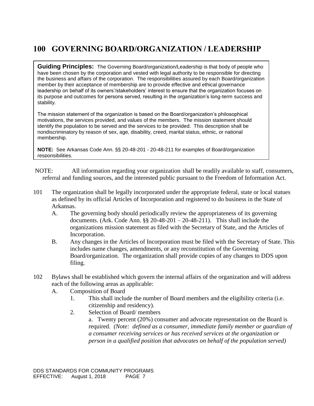# **100 GOVERNING BOARD/ORGANIZATION / LEADERSHIP**

**Guiding Principles:** The Governing Board/organization/Leadership is that body of people who have been chosen by the corporation and vested with legal authority to be responsible for directing the business and affairs of the corporation. The responsibilities assured by each Board/organization member by their acceptance of membership are to provide effective and ethical governance leadership on behalf of its owners'/stakeholders' interest to ensure that the organization focuses on its purpose and outcomes for persons served, resulting in the organization's long-term success and stability.

The mission statement of the organization is based on the Board/organization's philosophical motivations, the services provided, and values of the members. The mission statement should identify the population to be served and the services to be provided. This description shall be nondiscriminatory by reason of sex, age, disability, creed, marital status, ethnic, or national membership.

**NOTE:** See Arkansas Code Ann. §§ 20-48-201 - 20-48-211 for examples of Board/organization responsibilities.

NOTE: All information regarding your organization shall be readily available to staff, consumers, referral and funding sources, and the interested public pursuant to the Freedom of Information Act.

- 101 The organization shall be legally incorporated under the appropriate federal, state or local statues as defined by its official Articles of Incorporation and registered to do business in the State of Arkansas.
	- A. The governing body should periodically review the appropriateness of its governing documents. (Ark. Code Ann.  $\S$ § 20-48-201 – 20-48-211). This shall include the organizations mission statement as filed with the Secretary of State, and the Articles of Incorporation.
	- B. Any changes in the Articles of Incorporation must be filed with the Secretary of State. This includes name changes, amendments, or any reconstitution of the Governing Board/organization. The organization shall provide copies of any changes to DDS upon filing.
- 102 Bylaws shall be established which govern the internal affairs of the organization and will address each of the following areas as applicable:
	- A. Composition of Board
		- 1. This shall include the number of Board members and the eligibility criteria (i.e. citizenship and residency).
		- 2. Selection of Board/ members a. Twenty percent (20%) consumer and advocate representation on the Board is required. *(Note: defined as a consumer, immediate family member or guardian of a consumer receiving services or has received services at the organization or person in a qualified position that advocates on behalf of the population served)*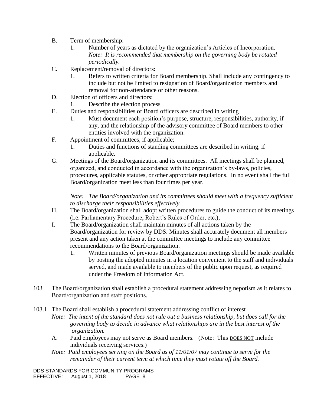- B. Term of membership:
	- 1. Number of years as dictated by the organization's Articles of Incorporation. *Note: It is recommended that membership on the governing body be rotated periodically.*
- C. Replacement/removal of directors:
	- 1. Refers to written criteria for Board membership. Shall include any contingency to include but not be limited to resignation of Board/organization members and removal for non-attendance or other reasons.
- D. Election of officers and directors:
	- 1. Describe the election process
- E. Duties and responsibilities of Board officers are described in writing
	- 1. Must document each position's purpose, structure, responsibilities, authority, if any, and the relationship of the advisory committee of Board members to other entities involved with the organization.
- F. Appointment of committees, if applicable;
	- 1. Duties and functions of standing committees are described in writing, if applicable.
- G. Meetings of the Board/organization and its committees. All meetings shall be planned, organized, and conducted in accordance with the organization's by-laws, policies, procedures, applicable statutes, or other appropriate regulations. In no event shall the full Board/organization meet less than four times per year.

*Note: The Board/organization and its committees should meet with a frequency sufficient to discharge their responsibilities effectively.*

- H. The Board/organization shall adopt written procedures to guide the conduct of its meetings (i.e. Parliamentary Procedure, Robert's Rules of Order, etc.);
- I. The Board/organization shall maintain minutes of all actions taken by the Board/organization for review by DDS. Minutes shall accurately document all members present and any action taken at the committee meetings to include any committee recommendations to the Board/organization.
	- 1. Written minutes of previous Board/organization meetings should be made available by posting the adopted minutes in a location convenient to the staff and individuals served, and made available to members of the public upon request, as required under the Freedom of Information Act.
- 103 The Board/organization shall establish a procedural statement addressing nepotism as it relates to Board/organization and staff positions.
- 103.1 The Board shall establish a procedural statement addressing conflict of interest *Note: The intent of the standard does not rule out a business relationship, but does call for the governing body to decide in advance what relationships are in the best interest of the organization.* 
	- A. Paid employees may not serve as Board members. (Note: This DOES NOT include individuals receiving services.)
	- *Note: Paid employees serving on the Board as of 11/01/07 may continue to serve for the remainder of their current term at which time they must rotate off the Board.*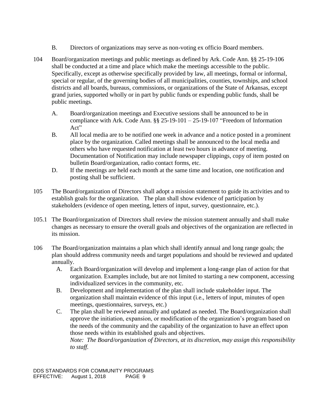- B. Directors of organizations may serve as non-voting ex officio Board members.
- 104 Board/organization meetings and public meetings as defined by Ark. Code Ann. §§ 25-19-106 shall be conducted at a time and place which make the meetings accessible to the public. Specifically, except as otherwise specifically provided by law, all meetings, formal or informal, special or regular, of the governing bodies of all municipalities, counties, townships, and school districts and all boards, bureaus, commissions, or organizations of the State of Arkansas, except grand juries, supported wholly or in part by public funds or expending public funds, shall be public meetings.
	- A. Board/organization meetings and Executive sessions shall be announced to be in compliance with Ark. Code Ann. §§ 25-19-101 – 25-19-107 "Freedom of Information Act"
	- B. All local media are to be notified one week in advance and a notice posted in a prominent place by the organization. Called meetings shall be announced to the local media and others who have requested notification at least two hours in advance of meeting. Documentation of Notification may include newspaper clippings, copy of item posted on bulletin Board/organization, radio contact forms, etc.
	- D. If the meetings are held each month at the same time and location, one notification and posting shall be sufficient.
- 105 The Board/organization of Directors shall adopt a mission statement to guide its activities and to establish goals for the organization. The plan shall show evidence of participation by stakeholders (evidence of open meeting, letters of input, survey, questionnaire, etc.).
- 105.1 The Board/organization of Directors shall review the mission statement annually and shall make changes as necessary to ensure the overall goals and objectives of the organization are reflected in its mission.
- 106 The Board/organization maintains a plan which shall identify annual and long range goals; the plan should address community needs and target populations and should be reviewed and updated annually.
	- A. Each Board/organization will develop and implement a long-range plan of action for that organization. Examples include, but are not limited to starting a new component, accessing individualized services in the community, etc.
	- B. Development and implementation of the plan shall include stakeholder input. The organization shall maintain evidence of this input (i.e., letters of input, minutes of open meetings, questionnaires, surveys, etc.)
	- C. The plan shall be reviewed annually and updated as needed. The Board/organization shall approve the initiation, expansion, or modification of the organization's program based on the needs of the community and the capability of the organization to have an effect upon those needs within its established goals and objectives.

*Note: The Board/organization of Directors, at its discretion, may assign this responsibility to staff.*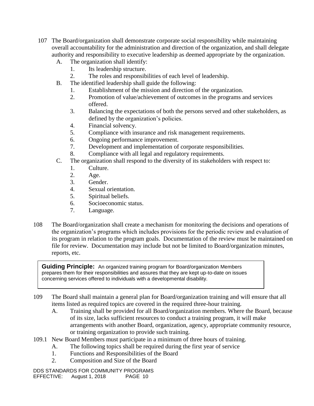- 107 The Board/organization shall demonstrate corporate social responsibility while maintaining overall accountability for the administration and direction of the organization, and shall delegate authority and responsibility to executive leadership as deemed appropriate by the organization.
	- A. The organization shall identify:
		- 1. Its leadership structure.
		- 2. The roles and responsibilities of each level of leadership.
	- B. The identified leadership shall guide the following:
		- 1. Establishment of the mission and direction of the organization.
		- 2. Promotion of value/achievement of outcomes in the programs and services offered.
		- 3. Balancing the expectations of both the persons served and other stakeholders, as defined by the organization's policies.
		- 4. Financial solvency.
		- 5. Compliance with insurance and risk management requirements.
		- 6. Ongoing performance improvement.
		- 7. Development and implementation of corporate responsibilities.
		- 8. Compliance with all legal and regulatory requirements.
	- C. The organization shall respond to the diversity of its stakeholders with respect to:
		- 1. Culture.
		- 2. Age.
		- 3. Gender.
		- 4. Sexual orientation.
		- 5. Spiritual beliefs.
		- 6. Socioeconomic status.
		- 7. Language.
- 108 The Board/organization shall create a mechanism for monitoring the decisions and operations of the organization's programs which includes provisions for the periodic review and evaluation of its program in relation to the program goals. Documentation of the review must be maintained on file for review. Documentation may include but not be limited to Board/organization minutes, reports, etc.

**Guiding Principle:** An organized training program for Board/organization Members prepares them for their responsibilities and assures that they are kept up-to-date on issues concerning services offered to individuals with a developmental disability.

- 109 The Board shall maintain a general plan for Board/organization training and will ensure that all items listed as required topics are covered in the required three-hour training.
	- A. Training shall be provided for all Board/organization members. Where the Board, because of its size, lacks sufficient resources to conduct a training program, it will make arrangements with another Board, organization, agency, appropriate community resource, or training organization to provide such training.
- 109.1 New Board Members must participate in a minimum of three hours of training.
	- A. The following topics shall be required during the first year of service
	- 1. Functions and Responsibilities of the Board
	- 2. Composition and Size of the Board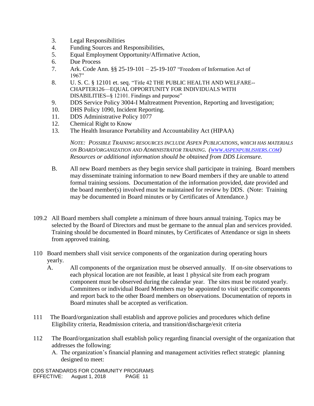- 3. Legal Responsibilities
- 4. Funding Sources and Responsibilities,
- 5. Equal Employment Opportunity/Affirmative Action,
- 6. Due Process
- 7. Ark. Code Ann. §§ 25-19-101 25-19-107 "Freedom of Information Act of 1967"
- 8. U. S. C. § 12101 et. seq. "Title 42 THE PUBLIC HEALTH AND WELFARE-- CHAPTER126—EQUAL OPPORTUNITY FOR INDIVIDUALS WITH DISABILITIES--§ 12101. Findings and purpose"
- 9. DDS Service Policy 3004-I Maltreatment Prevention, Reporting and Investigation;
- 10. DHS Policy 1090, Incident Reporting.
- 11. DDS Administrative Policy 1077
- 12. Chemical Right to Know
- 13. The Health Insurance Portability and Accountability Act (HIPAA)

*NOTE: POSSIBLE TRAINING RESOURCES INCLUDE ASPEN PUBLICATIONS, WHICH HAS MATERIALS ON BOARD/ORGANIZATION AND ADMINISTRATOR TRAINING. (WWW.[ASPENPUBLISHERS](http://www.aspenpublishers.com/).COM) Resources or additional information should be obtained from DDS Licensure.*

- B. All new Board members as they begin service shall participate in training. Board members may disseminate training information to new Board members if they are unable to attend formal training sessions. Documentation of the information provided, date provided and the board member(s) involved must be maintained for review by DDS. (Note: Training may be documented in Board minutes or by Certificates of Attendance.)
- 109.2 All Board members shall complete a minimum of three hours annual training. Topics may be selected by the Board of Directors and must be germane to the annual plan and services provided. Training should be documented in Board minutes, by Certificates of Attendance or sign in sheets from approved training.
- 110 Board members shall visit service components of the organization during operating hours yearly.
	- A. All components of the organization must be observed annually. If on-site observations to each physical location are not feasible, at least 1 physical site from each program component must be observed during the calendar year. The sites must be rotated yearly. Committees or individual Board Members may be appointed to visit specific components and report back to the other Board members on observations. Documentation of reports in Board minutes shall be accepted as verification.
- 111 The Board/organization shall establish and approve policies and procedures which define Eligibility criteria, Readmission criteria, and transition/discharge/exit criteria
- 112 The Board/organization shall establish policy regarding financial oversight of the organization that addresses the following:
	- A. The organization's financial planning and management activities reflect strategic planning designed to meet: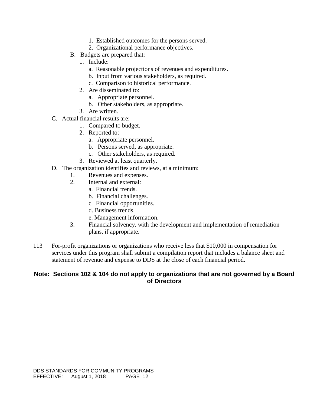- 1. Established outcomes for the persons served.
- 2. Organizational performance objectives.
- B. Budgets are prepared that:
	- 1. Include:
		- a. Reasonable projections of revenues and expenditures.
		- b. Input from various stakeholders, as required.
		- c. Comparison to historical performance.
	- 2. Are disseminated to:
		- a. Appropriate personnel.
		- b. Other stakeholders, as appropriate.
	- 3. Are written.
- C. Actual financial results are:
	- 1. Compared to budget.
	- 2. Reported to:
		- a. Appropriate personnel.
		- b. Persons served, as appropriate.
		- c. Other stakeholders, as required.
	- 3. Reviewed at least quarterly.
- D. The organization identifies and reviews, at a minimum:
	- 1. Revenues and expenses.
	- 2. Internal and external:
		- a. Financial trends.
		- b. Financial challenges.
		- c. Financial opportunities.
		- d. Business trends.
		- e. Management information.
	- 3. Financial solvency, with the development and implementation of remediation plans, if appropriate.
- 113 For-profit organizations or organizations who receive less that \$10,000 in compensation for services under this program shall submit a compilation report that includes a balance sheet and statement of revenue and expense to DDS at the close of each financial period.

### **Note: Sections 102 & 104 do not apply to organizations that are not governed by a Board of Directors**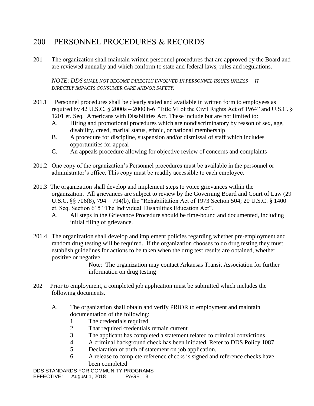# 200 PERSONNEL PROCEDURES & RECORDS

201 The organization shall maintain written personnel procedures that are approved by the Board and are reviewed annually and which conform to state and federal laws, rules and regulations.

*NOTE: DDS SHALL NOT BECOME DIRECTLY INVOLVED IN PERSONNEL ISSUES UNLESS IT DIRECTLY IMPACTS CONSUMER CARE AND/OR SAFETY.*

- 201.1 Personnel procedures shall be clearly stated and available in written form to employees as required by 42 U.S.C. § 2000a – 2000 h-6 "Title VI of the Civil Rights Act of 1964" and U.S.C. § 1201 et. Seq. Americans with Disabilities Act. These include but are not limited to:
	- A. Hiring and promotional procedures which are nondiscriminatory by reason of sex, age, disability, creed, marital status, ethnic, or national membership
	- B. A procedure for discipline, suspension and/or dismissal of staff which includes opportunities for appeal
	- C. An appeals procedure allowing for objective review of concerns and complaints
- 201.2 One copy of the organization's Personnel procedures must be available in the personnel or administrator's office. This copy must be readily accessible to each employee.
- 201.3 The organization shall develop and implement steps to voice grievances within the organization. All grievances are subject to review by the Governing Board and Court of Law (29 U.S.C. §§ 706(8), 794 – 794(b), the "Rehabilitation Act of 1973 Section 504; 20 U.S.C. § 1400 et. Seq. Section 615 "The Individual Disabilities Education Act".
	- A. All steps in the Grievance Procedure should be time-bound and documented, including initial filing of grievance.
- 201.4 The organization shall develop and implement policies regarding whether pre-employment and random drug testing will be required. If the organization chooses to do drug testing they must establish guidelines for actions to be taken when the drug test results are obtained, whether positive or negative.

Note: The organization may contact Arkansas Transit Association for further information on drug testing

- 202 Prior to employment, a completed job application must be submitted which includes the following documents.
	- A. The organization shall obtain and verify PRIOR to employment and maintain documentation of the following:
		- 1. The credentials required
		- 2. That required credentials remain current
		- 3. The applicant has completed a statement related to criminal convictions
		- 4. A criminal background check has been initiated. Refer to DDS Policy 1087.
		- 5. Declaration of truth of statement on job application.
		- 6. A release to complete reference checks is signed and reference checks have been completed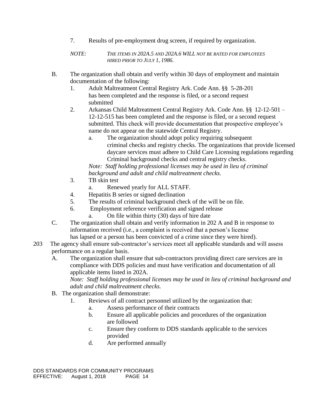7. Results of pre-employment drug screen, if required by organization.

*NOTE: THE ITEMS IN 202A.5 AND 202A.6 WILL NOT BE RATED FOR EMPLOYEES HIRED PRIOR TO JULY 1, 1986.*

- B. The organization shall obtain and verify within 30 days of employment and maintain documentation of the following:
	- 1. Adult Maltreatment Central Registry Ark. Code Ann. §§ 5-28-201 has been completed and the response is filed, or a second request submitted
	- 2. Arkansas Child Maltreatment Central Registry Ark. Code Ann. §§ 12-12-501 12-12-515 has been completed and the response is filed, or a second request submitted. This check will provide documentation that prospective employee's name do not appear on the statewide Central Registry.
		- a. The organization should adopt policy requiring subsequent criminal checks and registry checks. The organizations that provide licensed daycare services must adhere to Child Care Licensing regulations regarding Criminal background checks and central registry checks.

*Note: Staff holding professional licenses may be used in lieu of criminal background and adult and child maltreatment checks.*

- 3. TB skin test
	- a. Renewed yearly for ALL STAFF.
- 4. Hepatitis B series or signed declination
- 5. The results of criminal background check of the will be on file.
- 6. Employment reference verification and signed release
	- a. On file within thirty (30) days of hire date
- C. The organization shall obtain and verify information in 202 A and B in response to information received (i.e., a complaint is received that a person's license has lapsed or a person has been convicted of a crime since they were hired).
- 203 The agency shall ensure sub-contractor's services meet all applicable standards and will assess performance on a regular basis.
	- A. The organization shall ensure that sub-contractors providing direct care services are in compliance with DDS policies and must have verification and documentation of all applicable items listed in 202A.

*Note: Staff holding professional licenses may be used in lieu of criminal background and adult and child maltreatment checks.*

- B. The organization shall demonstrate:
	- 1. Reviews of all contract personnel utilized by the organization that:
		- a. Assess performance of their contracts
		- b. Ensure all applicable policies and procedures of the organization are followed
		- c. Ensure they conform to DDS standards applicable to the services provided
		- d. Are performed annually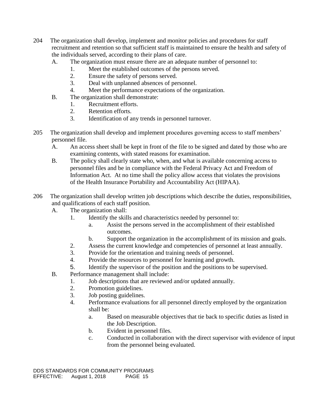- 204 The organization shall develop, implement and monitor policies and procedures for staff recruitment and retention so that sufficient staff is maintained to ensure the health and safety of the individuals served, according to their plans of care.
	- A. The organization must ensure there are an adequate number of personnel to:
		- 1. Meet the established outcomes of the persons served.
		- 2. Ensure the safety of persons served.
		- 3. Deal with unplanned absences of personnel.
		- 4. Meet the performance expectations of the organization.
	- B. The organization shall demonstrate:
		- 1. Recruitment efforts.
		- 2. Retention efforts.
		- 3. Identification of any trends in personnel turnover.
- 205 The organization shall develop and implement procedures governing access to staff members' personnel file.
	- A. An access sheet shall be kept in front of the file to be signed and dated by those who are examining contents, with stated reasons for examination.
	- B. The policy shall clearly state who, when, and what is available concerning access to personnel files and be in compliance with the Federal Privacy Act and Freedom of Information Act. At no time shall the policy allow access that violates the provisions of the Health Insurance Portability and Accountability Act (HIPAA).
- 206 The organization shall develop written job descriptions which describe the duties, responsibilities, and qualifications of each staff position.
	- A. The organization shall:
		- 1. Identify the skills and characteristics needed by personnel to:
			- a. Assist the persons served in the accomplishment of their established outcomes.
			- b. Support the organization in the accomplishment of its mission and goals.
		- 2. Assess the current knowledge and competencies of personnel at least annually.
		- 3. Provide for the orientation and training needs of personnel.
		- 4. Provide the resources to personnel for learning and growth.
		- 5. Identify the supervisor of the position and the positions to be supervised.
	- B. Performance management shall include:
		- 1. Job descriptions that are reviewed and/or updated annually.
		- 2. Promotion guidelines.
		- 3. Job posting guidelines.
		- 4. Performance evaluations for all personnel directly employed by the organization shall be:
			- a. Based on measurable objectives that tie back to specific duties as listed in the Job Description.
			- b. Evident in personnel files.
			- c. Conducted in collaboration with the direct supervisor with evidence of input from the personnel being evaluated.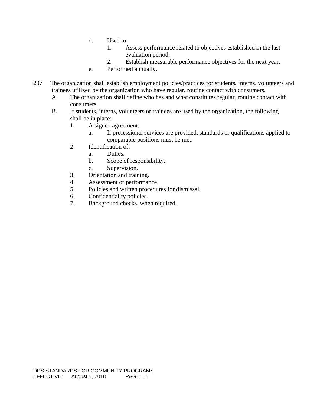- d. Used to:
	- 1. Assess performance related to objectives established in the last evaluation period.
	- 2. Establish measurable performance objectives for the next year.
- e. Performed annually.
- 207 The organization shall establish employment policies/practices for students, interns, volunteers and trainees utilized by the organization who have regular, routine contact with consumers.
	- A. The organization shall define who has and what constitutes regular, routine contact with consumers.
	- B. If students, interns, volunteers or trainees are used by the organization, the following shall be in place:
		- 1. A signed agreement.
			- a. If professional services are provided, standards or qualifications applied to comparable positions must be met.
		- 2. Identification of:
			- a. Duties.
			- b. Scope of responsibility.
			- c. Supervision.
		- 3. Orientation and training.
		- 4. Assessment of performance.
		- 5. Policies and written procedures for dismissal.
		- 6. Confidentiality policies.
		- 7. Background checks, when required.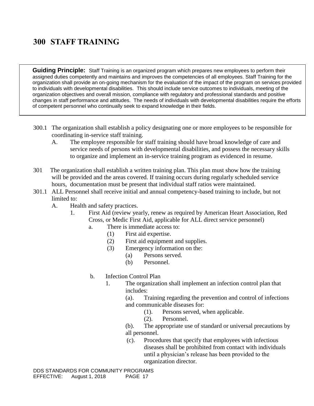# **300 STAFF TRAINING**

**Guiding Principle:** Staff Training is an organized program which prepares new employees to perform their assigned duties competently and maintains and improves the competencies of all employees. Staff Training for the organization shall provide an on-going mechanism for the evaluation of the impact of the program on services provided to individuals with developmental disabilities. This should include service outcomes to individuals, meeting of the organization objectives and overall mission, compliance with regulatory and professional standards and positive changes in staff performance and attitudes. The needs of individuals with developmental disabilities require the efforts of competent personnel who continually seek to expand knowledge in their fields.

- 300.1 The organization shall establish a policy designating one or more employees to be responsible for coordinating in-service staff training.
	- A. The employee responsible for staff training should have broad knowledge of care and service needs of persons with developmental disabilities, and possess the necessary skills to organize and implement an in-service training program as evidenced in resume.
- 301 The organization shall establish a written training plan. This plan must show how the training will be provided and the areas covered. If training occurs during regularly scheduled service hours, documentation must be present that individual staff ratios were maintained.
- 301.1 ALL Personnel shall receive initial and annual competency-based training to include, but not limited to:
	- A. Health and safety practices.
		- 1. First Aid (review yearly, renew as required by American Heart Association, Red Cross, or Medic First Aid, applicable for ALL direct service personnel)
			- a. There is immediate access to:
				- (1) First aid expertise.
					- (2) First aid equipment and supplies.
					- (3) Emergency information on the:
						- (a) Persons served.
						- (b) Personnel.
			- b. Infection Control Plan
				- 1. The organization shall implement an infection control plan that includes:

(a). Training regarding the prevention and control of infections and communicable diseases for:

- (1). Persons served, when applicable.
- (2). Personnel.

(b). The appropriate use of standard or universal precautions by all personnel.

(c). Procedures that specify that employees with infectious diseases shall be prohibited from contact with individuals until a physician's release has been provided to the organization director.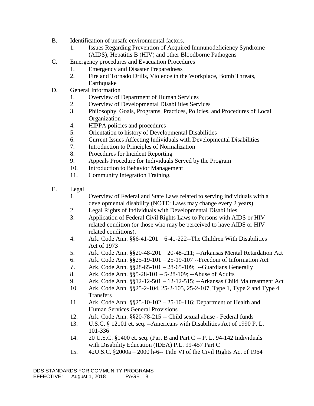- B. Identification of unsafe environmental factors.
	- 1. Issues Regarding Prevention of Acquired Immunodeficiency Syndrome (AIDS), Hepatitis B (HIV) and other Bloodborne Pathogens
- C. Emergency procedures and Evacuation Procedures
	- 1. Emergency and Disaster Preparedness
	- 2. Fire and Tornado Drills, Violence in the Workplace, Bomb Threats, Earthquake
- D. General Information
	- 1. Overview of Department of Human Services
	- 2. Overview of Developmental Disabilities Services
	- 3. Philosophy, Goals, Programs, Practices, Policies, and Procedures of Local Organization
	- 4. HIPPA policies and procedures
	- 5. Orientation to history of Developmental Disabilities
	- 6. Current Issues Affecting Individuals with Developmental Disabilities
	- 7. Introduction to Principles of Normalization
	- 8. Procedures for Incident Reporting
	- 9. Appeals Procedure for Individuals Served by the Program
	- 10. Introduction to Behavior Management
	- 11. Community Integration Training.
- E. Legal
	- 1. Overview of Federal and State Laws related to serving individuals with a developmental disability (NOTE: Laws may change every 2 years)
	- 2. Legal Rights of Individuals with Developmental Disabilities
	- 3. Application of Federal Civil Rights Laws to Persons with AIDS or HIV related condition (or those who may be perceived to have AIDS or HIV related conditions).
	- 4. Ark. Code Ann. §§6-41-201 6-41-222--The Children With Disabilities Act of 1973
	- 5. Ark. Code Ann. §§20-48-201 20-48-211; --Arkansas Mental Retardation Act
	- 6. Ark. Code Ann. §§25-19-101 25-19-107 --Freedom of Information Act
	- 7. Ark. Code Ann. §§28-65-101 28-65-109; --Guardians Generally
	- 8. Ark. Code Ann. §§5-28-101 5-28-109; --Abuse of Adults
	- 9. Ark. Code Ann. §§12-12-501 12-12-515; --Arkansas Child Maltreatment Act
	- 10. Ark. Code Ann. §§25-2-104, 25-2-105, 25-2-107, Type 1, Type 2 and Type 4 **Transfers**
	- 11. Ark. Code Ann. §§25-10-102 25-10-116; Department of Health and Human Services General Provisions
	- 12. Ark. Code Ann. §§20-78-215 -- Child sexual abuse Federal funds
	- 13. U.S.C. § 12101 et. seq. **--**Americans with Disabilities Act of 1990 P. L. 101-336
	- 14. 20 U.S.C. §1400 et. seq. (Part B and Part C -- P. L. 94-142 Individuals with Disability Education (IDEA) P.L. 99-457 Part C
	- 15. 42U.S.C. §2000a 2000 h-6-- Title VI of the Civil Rights Act of 1964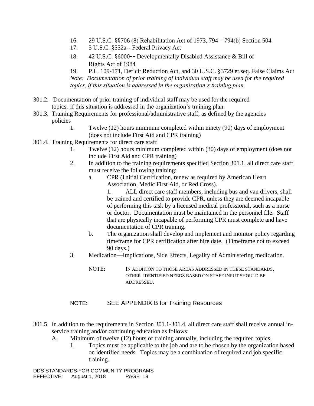- 16. 29 U.S.C. §§706 (8) Rehabilitation Act of 1973, 794 794(b) Section 504
- 17. 5 U.S.C. §552a-- Federal Privacy Act
- 18. 42 U.S.C. §6000-- Developmentally Disabled Assistance & Bill of Rights Act of 1984

19. P.L. 109-171, Deficit Reduction Act, and 30 U.S.C. §3729 et.seq. False Claims Act *Note: Documentation of prior training of individual staff may be used for the required topics, if this situation is addressed in the organization's training plan.*

- 301.2. Documentation of prior training of individual staff may be used for the required topics, if this situation is addressed in the organization's training plan.
- 301.3. Training Requirements for professional/administrative staff, as defined by the agencies policies
	- 1. Twelve (12) hours minimum completed within ninety (90) days of employment (does not include First Aid and CPR training)
- 301.4. Training Requirements for direct care staff
	- 1. Twelve (12) hours minimum completed within (30) days of employment (does not include First Aid and CPR training)
	- 2. In addition to the training requirements specified Section 301.1, all direct care staff must receive the following training:
		- a. CPR (I nitial Certification, renew as required by American Heart Association, Medic First Aid, or Red Cross).

1. ALL direct care staff members, including bus and van drivers, shall be trained and certified to provide CPR, unless they are deemed incapable of performing this task by a licensed medical professional, such as a nurse or doctor. Documentation must be maintained in the personnel file. Staff that are physically incapable of performing CPR must complete and have documentation of CPR training.

- b. The organization shall develop and implement and monitor policy regarding timeframe for CPR certification after hire date. (Timeframe not to exceed 90 days.)
- 3. Medication—Implications, Side Effects, Legality of Administering medication.
	- NOTE: IN ADDITION TO THOSE AREAS ADDRESSED IN THESE STANDARDS, OTHER IDENTIFIED NEEDS BASED ON STAFF INPUT SHOULD BE ADDRESSED.

### NOTE: SEE APPENDIX B for Training Resources

- 301.5 In addition to the requirements in Section 301.1-301.4, all direct care staff shall receive annual inservice training and/or continuing education as follows:
	- A. Minimum of twelve (12) hours of training annually, including the required topics.
		- 1. Topics must be applicable to the job and are to be chosen by the organization based on identified needs. Topics may be a combination of required and job specific training.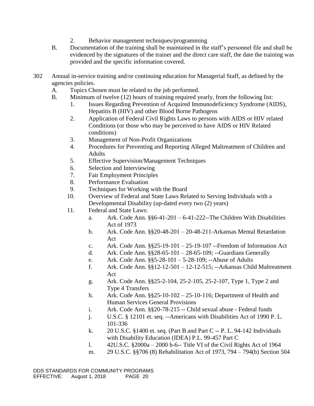- 2. Behavior management techniques/programming
- B. Documentation of the training shall be maintained in the staff's personnel file and shall be evidenced by the signatures of the trainer and the direct care staff, the date the training was provided and the specific information covered.
- 302 Annual in-service training and/or continuing education for Managerial Staff, as defined by the agencies policies.
	- A. Topics Chosen must be related to the job performed.
	- B. Minimum of twelve (12) hours of training required yearly, from the following list:
		- 1. Issues Regarding Prevention of Acquired Immunodeficiency Syndrome (AIDS), Hepatitis B (HIV) and other Blood Borne Pathogens
		- 2. Application of Federal Civil Rights Laws to persons with AIDS or HIV related Conditions (or those who may be perceived to have AIDS or HIV Related conditions)
		- 3. Management of Non-Profit Organizations
		- 4. Procedures for Preventing and Reporting Alleged Maltreatment of Children and Adults
		- 5. Effective Supervision/Management Techniques
		- 6. Selection and Interviewing
		- 7. Fair Employment Principles
		- 8. Performance Evaluation
		- 9. Techniques for Working with the Board
		- 10. Overview of Federal and State Laws Related to Serving Individuals with a Developmental Disability (up-dated every two (2) years)
		- 11. Federal and State Laws:
			- a. Ark. Code Ann.  $\S$ §6-41-201 6-41-222--The Children With Disabilities Act of 1973
			- b. Ark. Code Ann.  $\S$ 20-48-201 20-48-211-Arkansas Mental Retardation Act
			- c. Ark. Code Ann.  $\S$ 25-19-101 25-19-107 --Freedom of Information Act
			- d. Ark. Code Ann. §§28-65-101 28-65-109; --Guardians Generally
			- e. Ark. Code Ann. §§5-28-101 5-28-109; --Abuse of Adults
			- f. Ark. Code Ann. §§12-12-501 12-12-515; --Arkansas Child Maltreatment Act
			- g. Ark. Code Ann. §§25-2-104, 25-2-105, 25-2-107, Type 1, Type 2 and Type 4 Transfers
			- h. Ark. Code Ann. §§25-10-102 25-10-116; Department of Health and Human Services General Provisions
			- i. Ark. Code Ann. §§20-78-215 -- Child sexual abuse Federal funds
			- j. U.S.C. § 12101 et. seq. --Americans with Disabilities Act of 1990 P. L. 101-336
			- k. 20 U.S.C. §1400 et. seq. (Part B and Part C -- P. L. 94-142 Individuals with Disability Education (IDEA) P.L. 99-457 Part C
			- l. 42U.S.C. §2000a 2000 h-6-- Title VI of the Civil Rights Act of 1964
			- m. 29 U.S.C. §§706 (8) Rehabilitation Act of 1973, 794 794(b) Section 504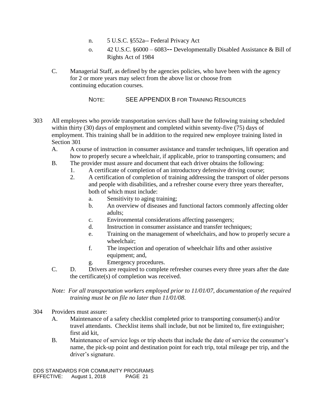- n. 5 U.S.C. §552a-- Federal Privacy Act
- o. 42 U.S.C.  $§6000 6083 -$  Developmentally Disabled Assistance & Bill of Rights Act of 1984
- C. Managerial Staff, as defined by the agencies policies, who have been with the agency for 2 or more years may select from the above list or choose from continuing education courses.

NOTE: SEE APPENDIX B FOR TRAINING RESOURCES

- 303 All employees who provide transportation services shall have the following training scheduled within thirty (30) days of employment and completed within seventy-five (75) days of employment. This training shall be in addition to the required new employee training listed in Section 301
	- A.A course of instruction in consumer assistance and transfer techniques, lift operation and how to properly secure a wheelchair, if applicable, prior to transporting consumers; and
	- B. The provider must assure and document that each driver obtains the following:
		- 1. A certificate of completion of an introductory defensive driving course;
		- 2. A certification of completion of training addressing the transport of older persons and people with disabilities, and a refresher course every three years thereafter, both of which must include:
			- a. Sensitivity to aging training;
			- b. An overview of diseases and functional factors commonly affecting older adults;
			- c. Environmental considerations affecting passengers;
			- d. Instruction in consumer assistance and transfer techniques;
			- e. Training on the management of wheelchairs, and how to properly secure a wheelchair;
			- f. The inspection and operation of wheelchair lifts and other assistive equipment; and,
			- g. Emergency procedures.
	- C. D. Drivers are required to complete refresher courses every three years after the date the certificate(s) of completion was received.
	- *Note: For all transportation workers employed prior to 11/01/07, documentation of the required training must be on file no later than 11/01/08.*
- 304 Providers must assure:
	- A. Maintenance of a safety checklist completed prior to transporting consumer(s) and/or travel attendants. Checklist items shall include, but not be limited to, fire extinguisher; first aid kit,
	- B. Maintenance of service logs or trip sheets that include the date of service the consumer's name, the pick-up point and destination point for each trip, total mileage per trip, and the driver's signature.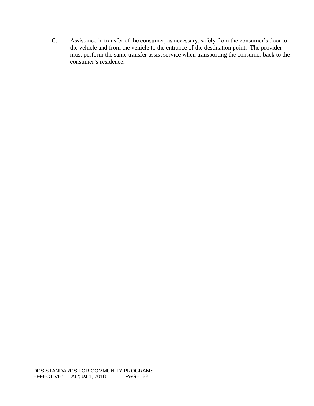C. Assistance in transfer of the consumer, as necessary, safely from the consumer's door to the vehicle and from the vehicle to the entrance of the destination point. The provider must perform the same transfer assist service when transporting the consumer back to the consumer's residence.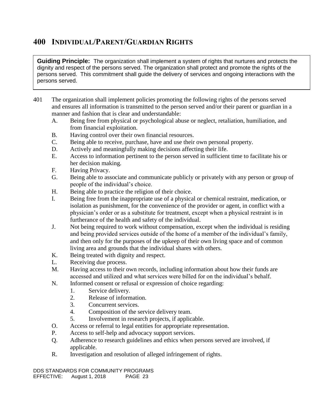# **400 INDIVIDUAL/PARENT/GUARDIAN RIGHTS**

**Guiding Principle:** The organization shall implement a system of rights that nurtures and protects the dignity and respect of the persons served. The organization shall protect and promote the rights of the persons served. This commitment shall guide the delivery of services and ongoing interactions with the persons served.

- 401 The organization shall implement policies promoting the following rights of the persons served and ensures all information is transmitted to the person served and/or their parent or guardian in a manner and fashion that is clear and understandable:
	- A. Being free from physical or psychological abuse or neglect, retaliation, humiliation, and from financial exploitation.
	- B. Having control over their own financial resources.
	- C. Being able to receive, purchase, have and use their own personal property.
	- D. Actively and meaningfully making decisions affecting their life.
	- E. Access to information pertinent to the person served in sufficient time to facilitate his or her decision making.
	- F. Having Privacy.
	- G. Being able to associate and communicate publicly or privately with any person or group of people of the individual's choice.
	- H. Being able to practice the religion of their choice.
	- I. Being free from the inappropriate use of a physical or chemical restraint, medication, or isolation as punishment, for the convenience of the provider or agent, in conflict with a physician's order or as a substitute for treatment, except when a physical restraint is in furtherance of the health and safety of the individual.
	- J. Not being required to work without compensation, except when the individual is residing and being provided services outside of the home of a member of the individual's family, and then only for the purposes of the upkeep of their own living space and of common living area and grounds that the individual shares with others.
	- K. Being treated with dignity and respect.
	- L. Receiving due process.
	- M. Having access to their own records, including information about how their funds are accessed and utilized and what services were billed for on the individual's behalf.
	- N. Informed consent or refusal or expression of choice regarding:
		- 1. Service delivery.
		- 2. Release of information.
		- 3. Concurrent services.
		- 4. Composition of the service delivery team.
		- 5. Involvement in research projects, if applicable.
	- O. Access or referral to legal entities for appropriate representation.
	- P. Access to self-help and advocacy support services.
	- Q. Adherence to research guidelines and ethics when persons served are involved, if applicable.
	- R. Investigation and resolution of alleged infringement of rights.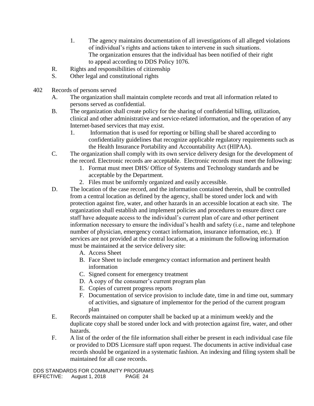- 1. The agency maintains documentation of all investigations of all alleged violations of individual's rights and actions taken to intervene in such situations. The organization ensures that the individual has been notified of their right to appeal according to DDS Policy 1076.
- R. Rights and responsibilities of citizenship
- S. Other legal and constitutional rights
- 402 Records of persons served
	- A. The organization shall maintain complete records and treat all information related to persons served as confidential.
	- B. The organization shall create policy for the sharing of confidential billing, utilization, clinical and other administrative and service-related information, and the operation of any Internet-based services that may exist.
		- 1. Information that is used for reporting or billing shall be shared according to confidentiality guidelines that recognize applicable regulatory requirements such as the Health Insurance Portability and Accountability Act (HIPAA).
	- C. The organization shall comply with its own service delivery design for the development of the record. Electronic records are acceptable. Electronic records must meet the following:
		- 1. Format must meet DHS/ Office of Systems and Technology standards and be acceptable by the Department.
		- 2. Files must be uniformly organized and easily accessible.
	- D. The location of the case record, and the information contained therein, shall be controlled from a central location as defined by the agency, shall be stored under lock and with protection against fire, water, and other hazards in an accessible location at each site. The organization shall establish and implement policies and procedures to ensure direct care staff have adequate access to the individual's current plan of care and other pertinent information necessary to ensure the individual's health and safety (i.e., name and telephone number of physician, emergency contact information, insurance information, etc.). If services are not provided at the central location, at a minimum the following information must be maintained at the service delivery site:
		- A. Access Sheet
		- B. Face Sheet to include emergency contact information and pertinent health information
		- C. Signed consent for emergency treatment
		- D. A copy of the consumer's current program plan
		- E. Copies of current progress reports
		- F. Documentation of service provision to include date, time in and time out, summary of activities, and signature of implementor for the period of the current program plan
	- E. Records maintained on computer shall be backed up at a minimum weekly and the duplicate copy shall be stored under lock and with protection against fire, water, and other hazards.
	- F. A list of the order of the file information shall either be present in each individual case file or provided to DDS Licensure staff upon request. The documents in active individual case records should be organized in a systematic fashion. An indexing and filing system shall be maintained for all case records.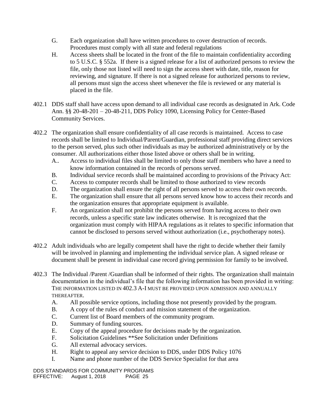- G. Each organization shall have written procedures to cover destruction of records. Procedures must comply with all state and federal regulations
- H. Access sheets shall be located in the front of the file to maintain confidentiality according to 5 U.S.C. § 552a. If there is a signed release for a list of authorized persons to review the file, only those not listed will need to sign the access sheet with date, title, reason for reviewing, and signature. If there is not a signed release for authorized persons to review, all persons must sign the access sheet whenever the file is reviewed or any material is placed in the file.
- 402.1 DDS staff shall have access upon demand to all individual case records as designated in Ark. Code Ann. §§ 20-48-201 – 20-48-211, DDS Policy 1090, Licensing Policy for Center-Based Community Services.
- 402.2 The organization shall ensure confidentiality of all case records is maintained. Access to case records shall be limited to Individual/Parent/Guardian, professional staff providing direct services to the person served, plus such other individuals as may be authorized administratively or by the consumer. All authorizations either those listed above or others shall be in writing.
	- A.. Access to individual files shall be limited to only those staff members who have a need to know information contained in the records of persons served.
	- B. Individual service records shall be maintained according to provisions of the Privacy Act:
	- C. Access to computer records shall be limited to those authorized to view records
	- D. The organization shall ensure the right of all persons served to access their own records.
	- E. The organization shall ensure that all persons served know how to access their records and the organization ensures that appropriate equipment is available.
	- F. An organization shall not prohibit the persons served from having access to their own records, unless a specific state law indicates otherwise. It is recognized that the organization must comply with HIPAA regulations as it relates to specific information that cannot be disclosed to persons served without authorization (i.e., psychotherapy notes).
- 402.2 Adult individuals who are legally competent shall have the right to decide whether their family will be involved in planning and implementing the individual service plan. A signed release or document shall be present in individual case record giving permission for family to be involved.
- 402.3 The Individual /Parent /Guardian shall be informed of their rights. The organization shall maintain documentation in the individual's file that the following information has been provided in writing: THE INFORMATION LISTED IN 402.3 A-I MUST BE PROVIDED UPON ADMISSION AND ANNUALLY THEREAFTER.
	- A. All possible service options, including those not presently provided by the program.
	- B. A copy of the rules of conduct and mission statement of the organization.
	- C. Current list of Board members of the community program.
	- D. Summary of funding sources.
	- E. Copy of the appeal procedure for decisions made by the organization.
	- F. Solicitation Guidelines \*\*See Solicitation under Definitions
	- G. All external advocacy services.
	- H. Right to appeal any service decision to DDS, under DDS Policy 1076
	- I. Name and phone number of the DDS Service Specialist for that area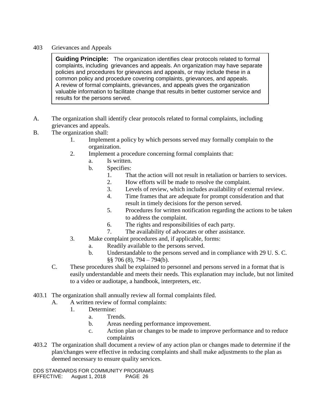### 403 Grievances and Appeals

**Guiding Principle:** The organization identifies clear protocols related to formal complaints, including grievances and appeals. An organization may have separate policies and procedures for grievances and appeals, or may include these in a common policy and procedure covering complaints, grievances, and appeals. A review of formal complaints, grievances, and appeals gives the organization valuable information to facilitate change that results in better customer service and results for the persons served.

- A. The organization shall identify clear protocols related to formal complaints, including grievances and appeals.
- B. The organization shall:
	- 1. Implement a policy by which persons served may formally complain to the organization.
	- 2. Implement a procedure concerning formal complaints that:
		- a. Is written.
		- b. Specifies:
			- 1. That the action will not result in retaliation or barriers to services.
			- 2. How efforts will be made to resolve the complaint.
			- 3. Levels of review, which includes availability of external review.
			- 4. Time frames that are adequate for prompt consideration and that result in timely decisions for the person served.
			- 5. Procedures for written notification regarding the actions to be taken to address the complaint.
			- 6. The rights and responsibilities of each party.
			- 7. The availability of advocates or other assistance.
	- 3. Make complaint procedures and, if applicable, forms:
		- a. Readily available to the persons served.
		- b. Understandable to the persons served and in compliance with 29 U. S. C.  $§$ § 706 (8), 794 – 794(b).
	- C. These procedures shall be explained to personnel and persons served in a format that is easily understandable and meets their needs. This explanation may include, but not limited to a video or audiotape, a handbook, interpreters, etc.
- 403.1 The organization shall annually review all formal complaints filed.
	- A. A written review of formal complaints:
		- 1. Determine:
			- a. Trends.
			- b. Areas needing performance improvement.
			- c. Action plan or changes to be made to improve performance and to reduce complaints
- 403.2 The organization shall document a review of any action plan or changes made to determine if the plan/changes were effective in reducing complaints and shall make adjustments to the plan as deemed necessary to ensure quality services.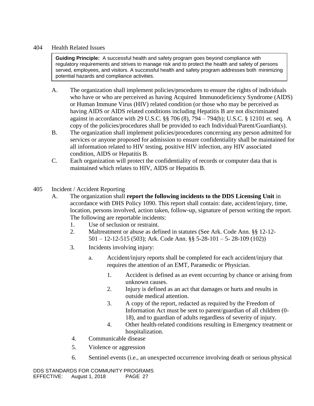### 404 Health Related Issues

**Guiding Principle:** A successful health and safety program goes beyond compliance with regulatory requirements and strives to manage risk and to protect the health and safety of persons served, employees, and visitors. A successful health and safety program addresses both minimizing potential hazards and compliance activities.

- A. The organization shall implement policies/procedures to ensure the rights of individuals who have or who are perceived as having Acquired Immunodeficiency Syndrome (AIDS) or Human Immune Virus (HIV) related condition (or those who may be perceived as having AIDS or AIDS related conditions including Hepatitis B are not discriminated against in accordance with 29 U.S.C. §§ 706 (8), 794 – 794(b); U.S.C. § 12101 et. seq. A copy of the policies/procedures shall be provided to each Individual/Parent/Guardian(s).
- B. The organization shall implement policies/procedures concerning any person admitted for services or anyone proposed for admission to ensure confidentiality shall be maintained for all information related to HIV testing, positive HIV infection, any HIV associated condition, AIDS or Hepatitis B.
- C. Each organization will protect the confidentiality of records or computer data that is maintained which relates to HIV, AIDS or Hepatitis B.
- 405 Incident / Accident Reporting
	- A. The organization shall **report the following incidents to the DDS Licensing Unit** in accordance with DHS Policy 1090. This report shall contain: date, accident/injury, time, location, persons involved, action taken, follow-up, signature of person writing the report. The following are reportable incidents:
		- 1. Use of seclusion or restraint.
		- 2. Maltreatment or abuse as defined in statutes (See Ark. Code Ann. §§ 12-12- 501 – 12-12-515 (503); Ark. Code Ann. §§ 5-28-101 – 5- 28-109 (102))
		- 3. Incidents involving injury:
			- a. Accident/injury reports shall be completed for each accident/injury that requires the attention of an EMT, Paramedic or Physician.
				- 1. Accident is defined as an event occurring by chance or arising from unknown causes.
				- 2. Injury is defined as an act that damages or hurts and results in outside medical attention.
				- 3. A copy of the report, redacted as required by the Freedom of Information Act must be sent to parent/guardian of all children (0- 18), and to guardian of adults regardless of severity of injury.
				- 4. Other health-related conditions resulting in Emergency treatment or hospitalization.
		- 4. Communicable disease
		- 5. Violence or aggression
		- 6. Sentinel events (i.e., an unexpected occurrence involving death or serious physical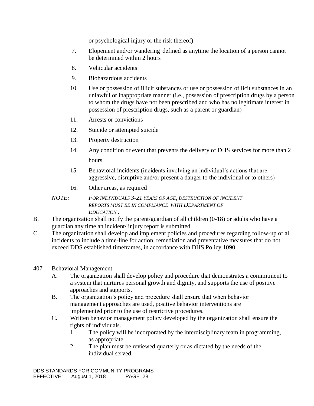or psychological injury or the risk thereof)

- 7. Elopement and/or wandering defined as anytime the location of a person cannot be determined within 2 hours
- 8. Vehicular accidents
- 9. Biohazardous accidents
- 10. Use or possession of illicit substances or use or possession of licit substances in an unlawful or inappropriate manner (i.e., possession of prescription drugs by a person to whom the drugs have not been prescribed and who has no legitimate interest in possession of prescription drugs, such as a parent or guardian)
- 11. Arrests or convictions
- 12. Suicide or attempted suicide
- 13. Property destruction
- 14. Any condition or event that prevents the delivery of DHS services for more than 2 hours
- 15. Behavioral incidents (incidents involving an individual's actions that are aggressive, disruptive and/or present a danger to the individual or to others)
- 16. Other areas, as required

### *NOTE: FOR INDIVIDUALS 3-21 YEARS OF AGE, DESTRUCTION OF INCIDENT REPORTS MUST BE IN COMPLIANCE WITH DEPARTMENT OF EDUCATION .*

- B. The organization shall notify the parent/guardian of all children (0-18) or adults who have a guardian any time an incident/ injury report is submitted.
- C. The organization shall develop and implement policies and procedures regarding follow-up of all incidents to include a time-line for action, remediation and preventative measures that do not exceed DDS established timeframes, in accordance with DHS Policy 1090.

#### 407 Behavioral Management

- A. The organization shall develop policy and procedure that demonstrates a commitment to a system that nurtures personal growth and dignity, and supports the use of positive approaches and supports.
- B. The organization's policy and procedure shall ensure that when behavior management approaches are used, positive behavior interventions are implemented prior to the use of restrictive procedures.
- C. Written behavior management policy developed by the organization shall ensure the rights of individuals.
	- 1. The policy will be incorporated by the interdisciplinary team in programming, as appropriate.
	- 2. The plan must be reviewed quarterly or as dictated by the needs of the individual served.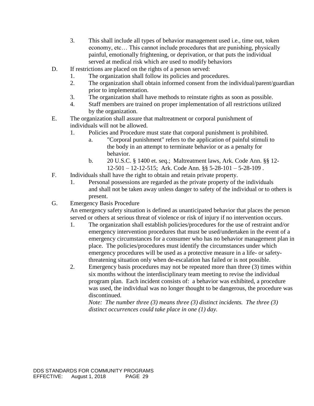- 3. This shall include all types of behavior management used i.e., time out, token economy, etc… This cannot include procedures that are punishing, physically painful, emotionally frightening, or deprivation, or that puts the individual served at medical risk which are used to modify behaviors
- D. If restrictions are placed on the rights of a person served:
	- 1. The organization shall follow its policies and procedures.
	- 2. The organization shall obtain informed consent from the individual/parent/guardian prior to implementation.
	- 3. The organization shall have methods to reinstate rights as soon as possible.
	- 4. Staff members are trained on proper implementation of all restrictions utilized by the organization.
- E. The organization shall assure that maltreatment or corporal punishment of individuals will not be allowed.
	- 1. Policies and Procedure must state that corporal punishment is prohibited.
		- a. "Corporal punishment" refers to the application of painful stimuli to the body in an attempt to terminate behavior or as a penalty for behavior.
		- b. 20 U.S.C. § 1400 et. seq.; Maltreatment laws, Ark. Code Ann. §§ 12- 12-501 – 12-12-515; Ark. Code Ann. §§ 5-28-101 – 5-28-109 .
- F. Individuals shall have the right to obtain and retain private property.
	- 1. Personal possessions are regarded as the private property of the individuals and shall not be taken away unless danger to safety of the individual or to others is present.
- G. Emergency Basis Procedure

An emergency safety situation is defined as unanticipated behavior that places the person served or others at serious threat of violence or risk of injury if no intervention occurs.

- 1. The organization shall establish policies/procedures for the use of restraint and/or emergency intervention procedures that must be used/undertaken in the event of a emergency circumstances for a consumer who has no behavior management plan in place. The policies/procedures must identify the circumstances under which emergency procedures will be used as a protective measure in a life- or safetythreatening situation only when de-escalation has failed or is not possible.
- 2. Emergency basis procedures may not be repeated more than three (3) times within six months without the interdisciplinary team meeting to revise the individual program plan. Each incident consists of: a behavior was exhibited, a procedure was used, the individual was no longer thought to be dangerous, the procedure was discontinued.

*Note: The number three (3) means three (3) distinct incidents. The three (3) distinct occurrences could take place in one (1) day.*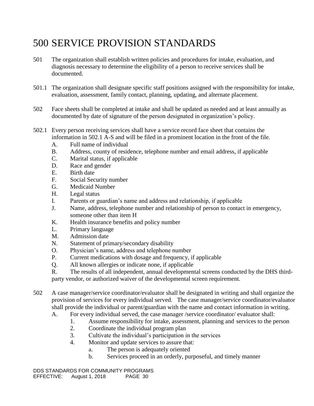# 500 SERVICE PROVISION STANDARDS

- 501 The organization shall establish written policies and procedures for intake, evaluation, and diagnosis necessary to determine the eligibility of a person to receive services shall be documented.
- 501.1 The organization shall designate specific staff positions assigned with the responsibility for intake, evaluation, assessment, family contact, planning, updating, and alternate placement.
- 502 Face sheets shall be completed at intake and shall be updated as needed and at least annually as documented by date of signature of the person designated in organization's policy.
- 502.1 Every person receiving services shall have a service record face sheet that contains the information in 502.1 A-S and will be filed in a prominent location in the front of the file.
	- A. Full name of individual
	- B. Address, county of residence, telephone number and email address, if applicable
	- C. Marital status, if applicable
	- D. Race and gender
	- E. Birth date
	- F. Social Security number
	- G. Medicaid Number
	- H. Legal status
	- I. Parents or guardian's name and address and relationship, if applicable
	- J. Name, address, telephone number and relationship of person to contact in emergency, someone other than item H
	- K. Health insurance benefits and policy number
	- L. Primary language
	- M. Admission date
	- N. Statement of primary/secondary disability
	- O. Physician's name, address and telephone number
	- P. Current medications with dosage and frequency, if applicable
	- Q. All known allergies or indicate none, if applicable
	- R. The results of all independent, annual developmental screens conducted by the DHS thirdparty vendor, or authorized waiver of the developmental screen requirement.
- 502 A case manager/service coordinator/evaluator shall be designated in writing and shall organize the provision of services for every individual served. The case manager/service coordinator/evaluator shall provide the individual or parent/guardian with the name and contact information in writing.
	- A. For every individual served, the case manager /service coordinator/ evaluator shall:
		- 1. Assume responsibility for intake, assessment, planning and services to the person
		- 2. Coordinate the individual program plan
		- 3. Cultivate the individual's participation in the services
		- 4. Monitor and update services to assure that:
			- a. The person is adequately oriented
			- b. Services proceed in an orderly, purposeful, and timely manner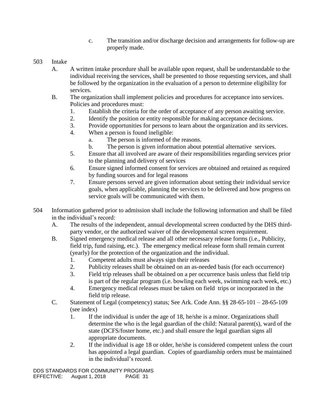- c. The transition and/or discharge decision and arrangements for follow-up are properly made.
- 503 Intake
	- A. A written intake procedure shall be available upon request, shall be understandable to the individual receiving the services, shall be presented to those requesting services, and shall be followed by the organization in the evaluation of a person to determine eligibility for services.
	- B. The organization shall implement policies and procedures for acceptance into services. Policies and procedures must:
		- 1. Establish the criteria for the order of acceptance of any person awaiting service.
		- 2. Identify the position or entity responsible for making acceptance decisions.
		- 3. Provide opportunities for persons to learn about the organization and its services.
		- 4. When a person is found ineligible:
			- a. The person is informed of the reasons.
			- b. The person is given information about potential alternative services.
		- 5. Ensure that all involved are aware of their responsibilities regarding services prior to the planning and delivery of services
		- 6. Ensure signed informed consent for services are obtained and retained as required by funding sources and for legal reasons
		- 7. Ensure persons served are given information about setting their individual service goals, when applicable, planning the services to be delivered and how progress on service goals will be communicated with them.
- 504 Information gathered prior to admission shall include the following information and shall be filed in the individual's record:
	- A. The results of the independent, annual developmental screen conducted by the DHS thirdparty vendor, or the authorized waiver of the developmental screen requirement.
	- B. Signed emergency medical release and all other necessary release forms (i.e., Publicity, field trip, fund raising, etc.). The emergency medical release form shall remain current (yearly) for the protection of the organization and the individual.
		- 1. Competent adults must always sign their releases
		- 2. Publicity releases shall be obtained on an as-needed basis (for each occurrence)
		- 3. Field trip releases shall be obtained on a per occurrence basis unless that field trip is part of the regular program (i.e. bowling each week, swimming each week, etc.)
		- 4. Emergency medical releases must be taken on field trips or incorporated in the field trip release.
	- C. Statement of Legal (competency) status; See Ark. Code Ann. §§ 28-65-101 28-65-109 (see index)
		- 1. If the individual is under the age of 18, he/she is a minor. Organizations shall determine the who is the legal guardian of the child: Natural parent(s), ward of the state (DCFS/foster home, etc.) and shall ensure the legal guardian signs all appropriate documents.
		- 2. If the individual is age 18 or older, he/she is considered competent unless the court has appointed a legal guardian. Copies of guardianship orders must be maintained in the individual's record.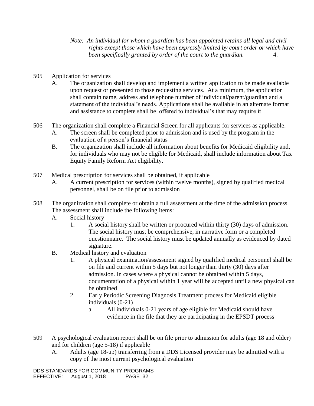*Note: An individual for whom a guardian has been appointed retains all legal and civil rights except those which have been expressly limited by court order or which have been specifically granted by order of the court to the guardian.* 4.

- 505 Application for services
	- A. The organization shall develop and implement a written application to be made available upon request or presented to those requesting services. At a minimum, the application shall contain name, address and telephone number of individual/parent/guardian and a statement of the individual's needs. Applications shall be available in an alternate format and assistance to complete shall be offered to individual's that may require it
- 506 The organization shall complete a Financial Screen for all applicants for services as applicable.
	- A. The screen shall be completed prior to admission and is used by the program in the evaluation of a person's financial status
	- B. The organization shall include all information about benefits for Medicaid eligibility and, for individuals who may not be eligible for Medicaid, shall include information about Tax Equity Family Reform Act eligibility.
- 507 Medical prescription for services shall be obtained, if applicable
	- A. A current prescription for services (within twelve months), signed by qualified medical personnel, shall be on file prior to admission
- 508 The organization shall complete or obtain a full assessment at the time of the admission process. The assessment shall include the following items:
	- A. Social history
		- 1. A social history shall be written or procured within thirty (30) days of admission. The social history must be comprehensive, in narrative form or a completed questionnaire. The social history must be updated annually as evidenced by dated signature.
	- B. Medical history and evaluation
		- 1. A physical examination/assessment signed by qualified medical personnel shall be on file and current within 5 days but not longer than thirty (30) days after admission. In cases where a physical cannot be obtained within 5 days, documentation of a physical within 1 year will be accepted until a new physical can be obtained
		- 2. Early Periodic Screening Diagnosis Treatment process for Medicaid eligible individuals (0-21)
			- a. All individuals 0-21 years of age eligible for Medicaid should have evidence in the file that they are participating in the EPSDT process
- 509 A psychological evaluation report shall be on file prior to admission for adults (age 18 and older) and for children (age 5-18) if applicable
	- A. Adults (age 18-up) transferring from a DDS Licensed provider may be admitted with a copy of the most current psychological evaluation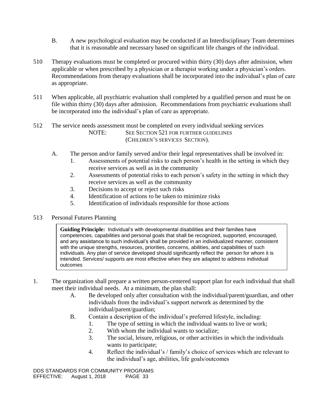- B. A new psychological evaluation may be conducted if an Interdisciplinary Team determines that it is reasonable and necessary based on significant life changes of the individual.
- 510 Therapy evaluations must be completed or procured within thirty (30) days after admission, when applicable or when prescribed by a physician or a therapist working under a physician's orders. Recommendations from therapy evaluations shall be incorporated into the individual's plan of care as appropriate.
- 511 When applicable, all psychiatric evaluation shall completed by a qualified person and must be on file within thirty (30) days after admission. Recommendations from psychiatric evaluations shall be incorporated into the individual's plan of care as appropriate.
- 512 The service needs assessment must be completed on every individual seeking services NOTE: SEE SECTION 521 FOR FURTHER GUIDELINES (CHILDREN'S SERVICES SECTION).
	- A. The person and/or family served and/or their legal representatives shall be involved in:
		- 1. Assessments of potential risks to each person's health in the setting in which they receive services as well as in the community
		- 2. Assessments of potential risks to each person's safety in the setting in which they receive services as well as the community
		- 3. Decisions to accept or reject such risks
		- 4. Identification of actions to be taken to minimize risks
		- 5. Identification of individuals responsible for those actions

#### 513 Personal Futures Planning

**Guiding Principle:** Individual's with developmental disabilities and their families have competencies, capabilities and personal goals that shall be recognized, supported, encouraged, and any assistance to such individual's shall be provided in an individualized manner, consistent with the unique strengths, resources, priorities, concerns, abilities, and capabilities of such individuals. Any plan of service developed should significantly reflect the person for whom it is intended. Services/ supports are most effective when they are adapted to address individual outcomes

- 1. The organization shall prepare a written person-centered support plan for each individual that shall meet their individual needs. At a minimum, the plan shall:
	- A. Be developed only after consultation with the individual/parent/guardian, and other individuals from the individual's support network as determined by the individual/parent/guardian;
	- B. Contain a description of the individual's preferred lifestyle, including:
		- 1. The type of setting in which the individual wants to live or work;
		- 2. With whom the individual wants to socialize;
		- 3. The social, leisure, religious, or other activities in which the individuals wants to participate;
		- 4. Reflect the individual's / family's choice of services which are relevant to the individual's age, abilities, life goals/outcomes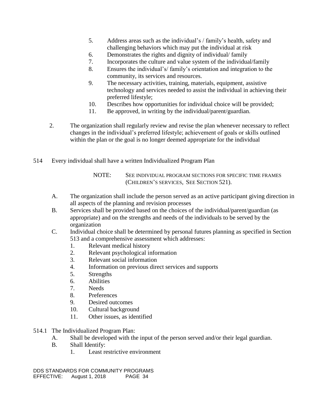- 5. Address areas such as the individual's / family's health, safety and challenging behaviors which may put the individual at risk
- 6. Demonstrates the rights and dignity of individual/ family
- 7. Incorporates the culture and value system of the individual/family
- 8. Ensures the individual's/ family's orientation and integration to the community, its services and resources.
- 9. The necessary activities, training, materials, equipment, assistive technology and services needed to assist the individual in achieving their preferred lifestyle;
- 10. Describes how opportunities for individual choice will be provided;
- 11. Be approved, in writing by the individual/parent/guardian.
- 2. The organization shall regularly review and revise the plan whenever necessary to reflect changes in the individual's preferred lifestyle; achievement of goals or skills outlined within the plan or the goal is no longer deemed appropriate for the individual
- 514 Every individual shall have a written Individualized Program Plan

- A. The organization shall include the person served as an active participant giving direction in all aspects of the planning and revision processes
- B. Services shall be provided based on the choices of the individual/parent/guardian (as appropriate) and on the strengths and needs of the individuals to be served by the organization
- C. Individual choice shall be determined by personal futures planning as specified in Section 513 and a comprehensive assessment which addresses:
	- 1. Relevant medical history
	- 2. Relevant psychological information
	- 3. Relevant social information
	- 4. Information on previous direct services and supports
	- 5. Strengths
	- 6. Abilities
	- 7. Needs
	- 8. Preferences
	- 9. Desired outcomes
	- 10. Cultural background
	- 11. Other issues, as identified
- 514.1 The Individualized Program Plan:
	- A. Shall be developed with the input of the person served and/or their legal guardian.
	- B. Shall Identify:
		- 1. Least restrictive environment

NOTE: SEE INDIVIDUAL PROGRAM SECTIONS FOR SPECIFIC TIME FRAMES (CHILDREN'S SERVICES, SEE SECTION 521).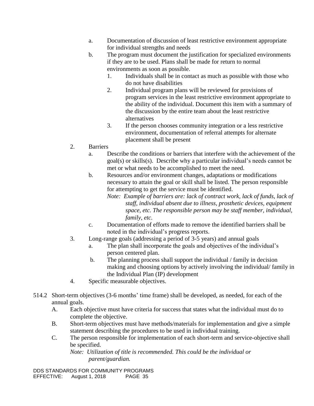- a. Documentation of discussion of least restrictive environment appropriate for individual strengths and needs
- b. The program must document the justification for specialized environments if they are to be used. Plans shall be made for return to normal environments as soon as possible.
	- 1. Individuals shall be in contact as much as possible with those who do not have disabilities
	- 2. Individual program plans will be reviewed for provisions of program services in the least restrictive environment appropriate to the ability of the individual. Document this item with a summary of the discussion by the entire team about the least restrictive alternatives
	- 3. If the person chooses community integration or a less restrictive environment, documentation of referral attempts for alternate placement shall be present
- 2. Barriers
	- a. Describe the conditions or barriers that interfere with the achievement of the goal(s) or skills(s). Describe why a particular individual's needs cannot be met or what needs to be accomplished to meet the need.
	- b. Resources and/or environment changes, adaptations or modifications necessary to attain the goal or skill shall be listed. The person responsible for attempting to get the service must be identified.
		- *Note: Example of barriers are: lack of contract work, lack of funds, lack of staff, individual absent due to illness, prosthetic devices, equipment space, etc. The responsible person may be staff member, individual, family, etc.*
	- c. Documentation of efforts made to remove the identified barriers shall be noted in the individual's progress reports.
- 3. Long-range goals (addressing a period of 3-5 years) and annual goals
	- a. The plan shall incorporate the goals and objectives of the individual's person centered plan.
	- b. The planning process shall support the individual / family in decision making and choosing options by actively involving the individual/ family in the Individual Plan (IP) development
- 4. Specific measurable objectives.
- 514.2 Short-term objectives (3-6 months' time frame) shall be developed, as needed, for each of the annual goals.
	- A. Each objective must have criteria for success that states what the individual must do to complete the objective.
	- B. Short-term objectives must have methods/materials for implementation and give a simple statement describing the procedures to be used in individual training.
	- C. The person responsible for implementation of each short-term and service-objective shall be specified.

*Note: Utilization of title is recommended. This could be the individual or parent/guardian.*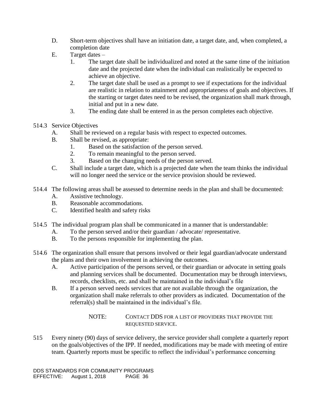- D. Short-term objectives shall have an initiation date, a target date, and, when completed, a completion date
- E. Target dates
	- 1. The target date shall be individualized and noted at the same time of the initiation date and the projected date when the individual can realistically be expected to achieve an objective.
	- 2. The target date shall be used as a prompt to see if expectations for the individual are realistic in relation to attainment and appropriateness of goals and objectives. If the starting or target dates need to be revised, the organization shall mark through, initial and put in a new date.
	- 3. The ending date shall be entered in as the person completes each objective.
- 514.3 Service Objectives
	- A. Shall be reviewed on a regular basis with respect to expected outcomes.
	- B. Shall be revised, as appropriate:
		- 1. Based on the satisfaction of the person served.
		- 2. To remain meaningful to the person served.
		- 3. Based on the changing needs of the person served.
	- C. Shall include a target date, which is a projected date when the team thinks the individual will no longer need the service or the service provision should be reviewed.
- 514.4 The following areas shall be assessed to determine needs in the plan and shall be documented:
	- A. Assistive technology.
	- B. Reasonable accommodations.
	- C. Identified health and safety risks
- 514.5 The individual program plan shall be communicated in a manner that is understandable:
	- A. To the person served and/or their guardian / advocate/ representative.
	- B. To the persons responsible for implementing the plan.
- 514.6 The organization shall ensure that persons involved or their legal guardian/advocate understand the plans and their own involvement in achieving the outcomes.
	- A. Active participation of the persons served, or their guardian or advocate in setting goals and planning services shall be documented. Documentation may be through interviews, records, checklists, etc. and shall be maintained in the individual's file
	- B. If a person served needs services that are not available through the organization, the organization shall make referrals to other providers as indicated. Documentation of the referral(s) shall be maintained in the individual's file.

NOTE: CONTACT DDS FOR A LIST OF PROVIDERS THAT PROVIDE THE REQUESTED SERVICE.

515 Every ninety (90) days of service delivery, the service provider shall complete a quarterly report on the goals/objectives of the IPP. If needed, modifications may be made with meeting of entire team. Quarterly reports must be specific to reflect the individual's performance concerning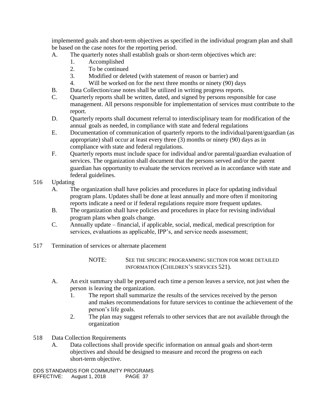implemented goals and short-term objectives as specified in the individual program plan and shall be based on the case notes for the reporting period.

- A. The quarterly notes shall establish goals or short-term objectives which are:
	- 1. Accomplished
	- 2. To be continued
	- 3. Modified or deleted (with statement of reason or barrier) and
	- 4. Will be worked on for the next three months or ninety (90) days
- B. Data Collection/case notes shall be utilized in writing progress reports.
- C. Quarterly reports shall be written, dated, and signed by persons responsible for case management. All persons responsible for implementation of services must contribute to the report.
- D. Quarterly reports shall document referral to interdisciplinary team for modification of the annual goals as needed, in compliance with state and federal regulations
- E. Documentation of communication of quarterly reports to the individual/parent/guardian (as appropriate) shall occur at least every three (3) months or ninety (90) days as in compliance with state and federal regulations.
- F. Quarterly reports must include space for individual and/or parental/guardian evaluation of services. The organization shall document that the persons served and/or the parent guardian has opportunity to evaluate the services received as in accordance with state and federal guidelines.
- 516 Updating
	- A. The organization shall have policies and procedures in place for updating individual program plans. Updates shall be done at least annually and more often if monitoring reports indicate a need or if federal regulations require more frequent updates.
	- B. The organization shall have policies and procedures in place for revising individual program plans when goals change.
	- C. Annually update financial, if applicable, social, medical, medical prescription for services, evaluations as applicable, IPP's, and service needs assessment;
- 517 Termination of services or alternate placement
	- NOTE: SEE THE SPECIFIC PROGRAMMING SECTION FOR MORE DETAILED INFORMATION (CHILDREN'S SERVICES 521).
	- A. An exit summary shall be prepared each time a person leaves a service, not just when the person is leaving the organization.
		- 1. The report shall summarize the results of the services received by the person and makes recommendations for future services to continue the achievement of the person's life goals.
		- 2. The plan may suggest referrals to other services that are not available through the organization
- 518 Data Collection Requirements
	- A. Data collections shall provide specific information on annual goals and short-term objectives and should be designed to measure and record the progress on each short-term objective.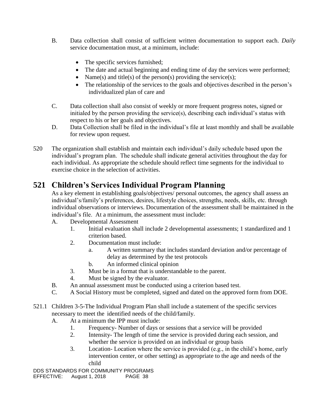- B. Data collection shall consist of sufficient written documentation to support each. *Daily* service documentation must, at a minimum, include:
	- The specific services furnished;
	- The date and actual beginning and ending time of day the services were performed;
	- Name(s) and title(s) of the person(s) providing the service(s);
	- The relationship of the services to the goals and objectives described in the person's individualized plan of care and
- C. Data collection shall also consist of weekly or more frequent progress notes, signed or initialed by the person providing the service(s), describing each individual's status with respect to his or her goals and objectives.
- D. Data Collection shall be filed in the individual's file at least monthly and shall be available for review upon request.
- 520 The organization shall establish and maintain each individual's daily schedule based upon the individual's program plan. The schedule shall indicate general activities throughout the day for each individual. As appropriate the schedule should reflect time segments for the individual to exercise choice in the selection of activities.

# **521 Children's Services Individual Program Planning**

As a key element in establishing goals/objectives/ personal outcomes, the agency shall assess an individual's/family's preferences, desires, lifestyle choices, strengths, needs, skills, etc. through individual observations or interviews. Documentation of the assessment shall be maintained in the individual's file. At a minimum, the assessment must include:

- A. Developmental Assessment
	- 1. Initial evaluation shall include 2 developmental assessments; 1 standardized and 1 criterion based.
	- 2. Documentation must include:
		- a. A written summary that includes standard deviation and/or percentage of delay as determined by the test protocols
		- b. An informed clinical opinion
	- 3. Must be in a format that is understandable to the parent.
	- 4. Must be signed by the evaluator.
- B. An annual assessment must be conducted using a criterion based test.
- C. A Social History must be completed, signed and dated on the approved form from DOE.
- 521.1 Children 3-5-The Individual Program Plan shall include a statement of the specific services necessary to meet the identified needs of the child/family.
	- A. At a minimum the IPP must include:
		- 1. Frequency- Number of days or sessions that a service will be provided
		- 2. Intensity- The length of time the service is provided during each session, and whether the service is provided on an individual or group basis
		- 3. Location- Location where the service is provided (e.g., in the child's home, early intervention center, or other setting) as appropriate to the age and needs of the child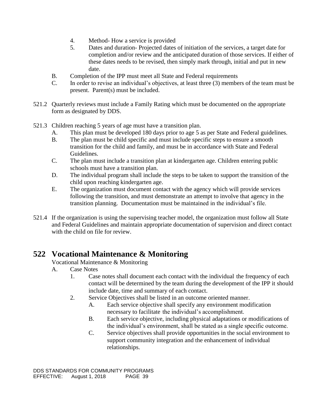- 4. Method- How a service is provided
- 5. Dates and duration- Projected dates of initiation of the services, a target date for completion and/or review and the anticipated duration of those services. If either of these dates needs to be revised, then simply mark through, initial and put in new date.
- B. Completion of the IPP must meet all State and Federal requirements
- C. In order to revise an individual's objectives, at least three (3) members of the team must be present. Parent(s) must be included.
- 521.2 Quarterly reviews must include a Family Rating which must be documented on the appropriate form as designated by DDS.
- 521.3 Children reaching 5 years of age must have a transition plan.
	- A. This plan must be developed 180 days prior to age 5 as per State and Federal guidelines.
	- B. The plan must be child specific and must include specific steps to ensure a smooth transition for the child and family, and must be in accordance with State and Federal Guidelines.
	- C. The plan must include a transition plan at kindergarten age. Children entering public schools must have a transition plan.
	- D. The individual program shall include the steps to be taken to support the transition of the child upon reaching kindergarten age.
	- E. The organization must document contact with the agency which will provide services following the transition, and must demonstrate an attempt to involve that agency in the transition planning. Documentation must be maintained in the individual's file.
- 521.4 If the organization is using the supervising teacher model, the organization must follow all State and Federal Guidelines and maintain appropriate documentation of supervision and direct contact with the child on file for review.

# **522 Vocational Maintenance & Monitoring**

Vocational Maintenance & Monitoring

- A. Case Notes
	- 1. Case notes shall document each contact with the individual the frequency of each contact will be determined by the team during the development of the IPP it should include date, time and summary of each contact.
	- 2. Service Objectives shall be listed in an outcome oriented manner.
		- A. Each service objective shall specify any environment modification necessary to facilitate the individual's accomplishment.
		- B. Each service objective, including physical adaptations or modifications of the individual's environment, shall be stated as a single specific outcome.
		- C. Service objectives shall provide opportunities in the social environment to support community integration and the enhancement of individual relationships.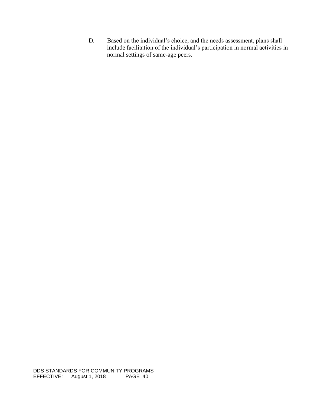D. Based on the individual's choice, and the needs assessment, plans shall include facilitation of the individual's participation in normal activities in normal settings of same-age peers.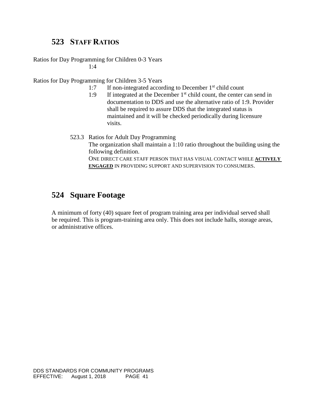### **523 STAFF RATIOS**

Ratios for Day Programming for Children 0-3 Years  $1:4$ 

Ratios for Day Programming for Children 3-5 Years

- 1:7 If non-integrated according to December  $1<sup>st</sup>$  child count
- 1:9 If integrated at the December  $1<sup>st</sup>$  child count, the center can send in documentation to DDS and use the alternative ratio of 1:9. Provider shall be required to assure DDS that the integrated status is maintained and it will be checked periodically during licensure visits.
- 523.3 Ratios for Adult Day Programming The organization shall maintain a 1:10 ratio throughout the building using the following definition. ONE DIRECT CARE STAFF PERSON THAT HAS VISUAL CONTACT WHILE **ACTIVELY ENGAGED** IN PROVIDING SUPPORT AND SUPERVISION TO CONSUMERS.

# **524 Square Footage**

A minimum of forty (40) square feet of program training area per individual served shall be required. This is program-training area only. This does not include halls, storage areas, or administrative offices.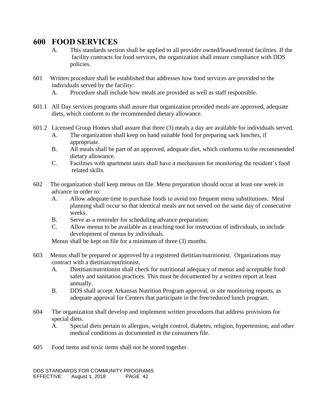### **600 FOOD SERVICES**

- A. This standards section shall be applied to all provider owned/leased/rented facilities. If the facility contracts for food services, the organization shall ensure compliance with DDS policies.
- 601 Written procedure shall be established that addresses how food services are provided to the individuals served by the facility:
	- A. Procedure shall include how meals are provided as well as staff responsible.
- 601.1 All Day services programs shall assure that organization provided meals are approved, adequate diets, which conform to the recommended dietary allowance.
- 601.2 Licensed Group Homes shall assure that three (3) meals a day are available for individuals served.
	- A. The organization shall keep on hand suitable food for preparing sack lunches, if appropriate.
	- B. All meals shall be part of an approved, adequate diet, which conforms to the recommended dietary allowance.
	- C. Facilities with apartment units shall have a mechanism for monitoring the resident's food related skills.
- 602 The organization shall keep menus on file. Menu preparation should occur at least one week in advance in order to:
	- A. Allow adequate time to purchase foods to avoid too frequent menu substitutions. Meal planning shall occur so that identical meals are not served on the same day of consecutive weeks.
	- B. Serve as a reminder for scheduling advance preparation;
	- C. Allow menus to be available as a teaching tool for instruction of individuals, to include development of menus by individuals.

Menus shall be kept on file for a minimum of three (3) months.

- 603 Menus shall be prepared or approved by a registered dietitian/nutritionist. Organizations may contract with a dietitian/nutritionist.
	- A. Dietitian/nutritionist shall check for nutritional adequacy of menus and acceptable food safety and sanitation practices. This must be documented by a written report at least annually.
	- B. DDS shall accept Arkansas Nutrition Program approval, or site monitoring reports, as adequate approval for Centers that participate in the free/reduced lunch program.
- 604 The organization shall develop and implement written procedures that address provisions for special diets.
	- A. Special diets pertain to allergies, weight control, diabetes, religion, hypertension, and other medical conditions as documented in the consumers file.
- 605 Food items and toxic items shall not be stored together.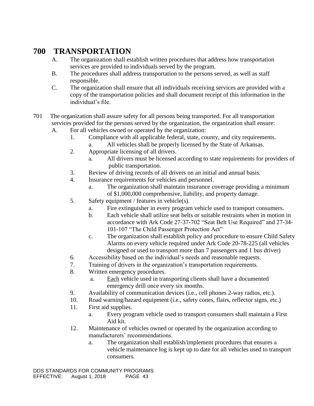# **700 TRANSPORTATION**

- A. The organization shall establish written procedures that address how transportation services are provided to individuals served by the program.
- B. The procedures shall address transportation to the persons served, as well as staff responsible.
- C. The organization shall ensure that all individuals receiving services are provided with a copy of the transportation policies and shall document receipt of this information in the individual's file.
- 701 The organization shall assure safety for all persons being transported. For all transportation services provided for the persons served by the organization, the organization shall ensure:
	- A. For all vehicles owned or operated by the organization:
		- 1. Compliance with all applicable federal, state, county, and city requirements.
			- a. All vehicles shall be properly licensed by the State of Arkansas.
		- 2. Appropriate licensing of all drivers.
			- a. All drivers must be licensed according to state requirements for providers of public transportation.
		- 3. Review of driving records of all drivers on an initial and annual basis.
		- 4. Insurance requirements for vehicles and personnel.
			- a. The organization shall maintain insurance coverage providing a minimum of \$1,000,000 comprehensive, liability, and property damage.
		- 5. Safety equipment / features in vehicle(s).
			- a. Fire extinguisher in every program vehicle used to transport consumers.
			- b. Each vehicle shall utilize seat belts or suitable restraints when in motion in accordance with Ark Code 27-37-702 "Seat Belt Use Required" and 27-34- 101-107 "The Child Passenger Protection Act"
			- c. The organization shall establish policy and procedure to ensure Child Safety Alarms on every vehicle required under Ark Code 20-78-225 (all vehicles designed or used to transport more than 7 passengers and 1 bus driver)
		- 6. Accessibility based on the individual's needs and reasonable requests.
		- 7. Training of drivers in the organization's transportation requirements.
		- 8. Written emergency procedures.
			- a. Each vehicle used in transporting clients shall have a documented emergency drill once every six months.
		- 9. Availability of communication devices (i.e., cell phones 2-way radios, etc.).
		- 10. Road warning/hazard equipment (i.e., safety cones, flairs, reflector signs, etc.)
		- 11. First aid supplies.
			- a. Every program vehicle used to transport consumers shall maintain a First Aid kit.
		- 12. Maintenance of vehicles owned or operated by the organization according to manufacturers' recommendations.
			- a. The organization shall establish/implement procedures that ensures a vehicle maintenance log is kept up to date for all vehicles used to transport consumers.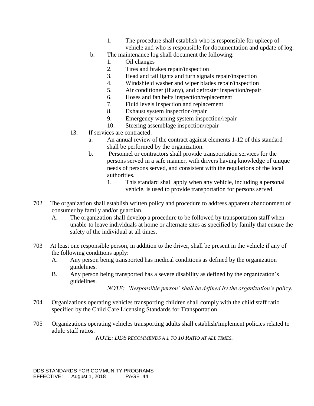- 1. The procedure shall establish who is responsible for upkeep of vehicle and who is responsible for documentation and update of log.
- b. The maintenance log shall document the following:
	- 1. Oil changes
	- 2. Tires and brakes repair/inspection
	- 3. Head and tail lights and turn signals repair/inspection
	- 4. Windshield washer and wiper blades repair/inspection
	- 5. Air conditioner (if any), and defroster inspection/repair
	- 6. Hoses and fan belts inspection/replacement
	- 7. Fluid levels inspection and replacement
	- 8. Exhaust system inspection/repair
	- 9. Emergency warning system inspection/repair
	- 10. Steering assemblage inspection/repair
- 13. If services are contracted:
	- a. An annual review of the contract against elements 1-12 of this standard shall be performed by the organization.
	- b. Personnel or contractors shall provide transportation services for the persons served in a safe manner, with drivers having knowledge of unique needs of persons served, and consistent with the regulations of the local authorities.
		- 1. This standard shall apply when any vehicle, including a personal vehicle, is used to provide transportation for persons served.
- 702 The organization shall establish written policy and procedure to address apparent abandonment of consumer by family and/or guardian.
	- A. The organization shall develop a procedure to be followed by transportation staff when unable to leave individuals at home or alternate sites as specified by family that ensure the safety of the individual at all times.
- 703 At least one responsible person, in addition to the driver, shall be present in the vehicle if any of the following conditions apply:
	- A. Any person being transported has medical conditions as defined by the organization guidelines.
	- B. Any person being transported has a severe disability as defined by the organization's guidelines.

*NOTE: 'Responsible person' shall be defined by the organization's policy.* 

- 704 Organizations operating vehicles transporting children shall comply with the child:staff ratio specified by the Child Care Licensing Standards for Transportation
- 705 Organizations operating vehicles transporting adults shall establish/implement policies related to adult: staff ratios.

*NOTE: DDS RECOMMENDS A 1 TO 10 RATIO AT ALL TIMES.*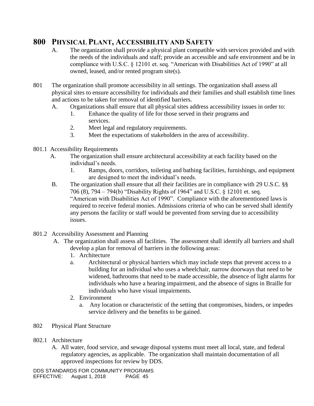### **800 PHYSICAL PLANT, ACCESSIBILITY AND SAFETY**

- A. The organization shall provide a physical plant compatible with services provided and with the needs of the individuals and staff; provide an accessible and safe environment and be in compliance with U.S.C. § 12101 et. seq. "American with Disabilities Act of 1990" at all owned, leased, and/or rented program site(s).
- 801 The organization shall promote accessibility in all settings. The organization shall assess all physical sites to ensure accessibility for individuals and their families and shall establish time lines and actions to be taken for removal of identified barriers.
	- A. Organizations shall ensure that all physical sites address accessibility issues in order to:
		- 1. Enhance the quality of life for those served in their programs and services.
		- 2. Meet legal and regulatory requirements.
		- 3. Meet the expectations of stakeholders in the area of accessibility.
- 801.1 Accessibility Requirements
	- A. The organization shall ensure architectural accessibility at each facility based on the individual's needs.
		- 1. Ramps, doors, corridors, toileting and bathing facilities, furnishings, and equipment are designed to meet the individual's needs.
	- B. The organization shall ensure that all their facilities are in compliance with 29 U.S.C. §§ 706 (8), 794 – 794(b) "Disability Rights of 1964" and U.S.C. § 12101 et. seq. "American with Disabilities Act of 1990". Compliance with the aforementioned laws is required to receive federal monies. Admissions criteria of who can be served shall identify any persons the facility or staff would be prevented from serving due to accessibility issues.
- 801.2 Accessibility Assessment and Planning
	- A. The organization shall assess all facilities. The assessment shall identify all barriers and shall develop a plan for removal of barriers in the following areas:
		- 1. Architecture
		- a. Architectural or physical barriers which may include steps that prevent access to a building for an individual who uses a wheelchair, narrow doorways that need to be widened, bathrooms that need to be made accessible, the absence of light alarms for individuals who have a hearing impairment, and the absence of signs in Braille for individuals who have visual impairments.
		- 2. Environment
			- a. Any location or characteristic of the setting that compromises, hinders, or impedes service delivery and the benefits to be gained.
- 802 Physical Plant Structure
- 802.1 Architecture
	- A. All water, food service, and sewage disposal systems must meet all local, state, and federal regulatory agencies, as applicable. The organization shall maintain documentation of all approved inspections for review by DDS.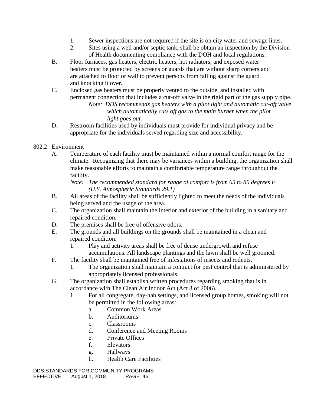- 1. Sewer inspections are not required if the site is on city water and sewage lines.
- 2. Sites using a well and/or septic tank, shall be obtain an inspection by the Division of Health documenting compliance with the DOH and local regulations.
- B. Floor furnaces, gas heaters, electric heaters, hot radiators, and exposed water heaters must be protected by screens or guards that are without sharp corners and are attached to floor or wall to prevent persons from falling against the guard and knocking it over.
- C. Enclosed gas heaters must be properly vented to the outside, and installed with permanent connection that includes a cut-off valve in the rigid part of the gas supply pipe.
	- *Note: DDS recommends gas heaters with a pilot light and automatic cut-off valve which automatically cuts off gas to the main burner when the pilot light goes out.*
- D. Restroom facilities used by individuals must provide for individual privacy and be appropriate for the individuals served regarding size and accessibility.
- 802.2 Environment
	- A. Temperature of each facility must be maintained within a normal comfort range for the climate. Recognizing that there may be variances within a building, the organization shall make reasonable efforts to maintain a comfortable temperature range throughout the facility.

*Note: The recommended standard for range of comfort is from 65 to 80 degrees F (U.S. Atmospheric Standards 29.1)*

- B. All areas of the facility shall be sufficiently lighted to meet the needs of the individuals being served and the usage of the area.
- C. The organization shall maintain the interior and exterior of the building in a sanitary and repaired condition.
- D. The premises shall be free of offensive odors.
- E. The grounds and all buildings on the grounds shall be maintained in a clean and repaired condition.
	- 1. Play and activity areas shall be free of dense undergrowth and refuse accumulations. All landscape plantings and the lawn shall be well groomed.
- F. The facility shall be maintained free of infestations of insects and rodents.
	- 1. The organization shall maintain a contract for pest control that is administered by appropriately licensed professionals.
- G. The organization shall establish written procedures regarding smoking that is in accordance with The Clean Air Indoor Act (Act 8 of 2006).
	- 1. For all congregate, day-hab settings, and licensed group homes, smoking will not be permitted in the following areas:
		- a. Common Work Areas
		- b. Auditoriums
		- c. Classrooms
		- d. Conference and Meeting Rooms
		- e. Private Offices
		- f. Elevators
		- g. Hallways
		- h. Health Care Facilities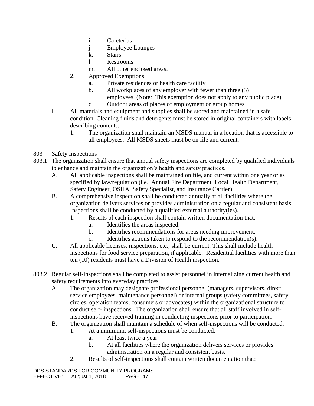- i. Cafeterias
- j. Employee Lounges
- k. Stairs
- l. Restrooms
- m. All other enclosed areas.
- 2. Approved Exemptions:
	- a. Private residences or health care facility
	- b. All workplaces of any employer with fewer than three (3) employees. (Note: This exemption does not apply to any public place)
	- c. Outdoor areas of places of employment or group homes
- H. All materials and equipment and supplies shall be stored and maintained in a safe condition. Cleaning fluids and detergents must be stored in original containers with labels describing contents.
	- 1. The organization shall maintain an MSDS manual in a location that is accessible to all employees. All MSDS sheets must be on file and current.
- 803 Safety Inspections
- 803.1 The organization shall ensure that annual safety inspections are completed by qualified individuals to enhance and maintain the organization's health and safety practices.
	- A. All applicable inspections shall be maintained on file, and current within one year or as specified by law/regulation (i.e., Annual Fire Department, Local Health Department, Safety Engineer, OSHA, Safety Specialist, and Insurance Carrier).
	- B. A comprehensive inspection shall be conducted annually at all facilities where the organization delivers services or provides administration on a regular and consistent basis. Inspections shall be conducted by a qualified external authority(ies).
		- 1. Results of each inspection shall contain written documentation that:
			- a. Identifies the areas inspected.
			- b. Identifies recommendations for areas needing improvement.
			- c. Identifies actions taken to respond to the recommendation(s).
	- C. All applicable licenses, inspections, etc., shall be current. This shall include health inspections for food service preparation, if applicable. Residential facilities with more than ten (10) residents must have a Division of Health inspection.
- 803.2 Regular self-inspections shall be completed to assist personnel in internalizing current health and safety requirements into everyday practices.
	- A. The organization may designate professional personnel (managers, supervisors, direct service employees, maintenance personnel) or internal groups (safety committees, safety circles, operation teams, consumers or advocates) within the organizational structure to conduct self- inspections. The organization shall ensure that all staff involved in selfinspections have received training in conducting inspections prior to participation.
	- B. The organization shall maintain a schedule of when self-inspections will be conducted.
		- 1. At a minimum, self-inspections must be conducted:
			- a. At least twice a year.
			- b. At all facilities where the organization delivers services or provides administration on a regular and consistent basis.
		- 2. Results of self-inspections shall contain written documentation that: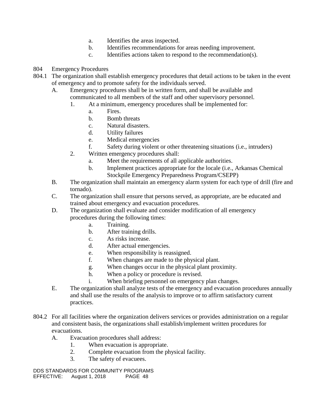- a. Identifies the areas inspected.
- b. Identifies recommendations for areas needing improvement.
- c. Identifies actions taken to respond to the recommendation(s).
- 804 Emergency Procedures
- 804.1 The organization shall establish emergency procedures that detail actions to be taken in the event of emergency and to promote safety for the individuals served.
	- A. Emergency procedures shall be in written form, and shall be available and communicated to all members of the staff and other supervisory personnel.
		- 1. At a minimum, emergency procedures shall be implemented for:
			- a. Fires.
			- b. Bomb threats
			- c. Natural disasters.
			- d. Utility failures
			- e. Medical emergencies
			- f. Safety during violent or other threatening situations (i.e., intruders)
		- 2. Written emergency procedures shall:
			- a. Meet the requirements of all applicable authorities.
			- b. Implement practices appropriate for the locale (i.e., Arkansas Chemical Stockpile Emergency Preparedness Program/CSEPP)
	- B. The organization shall maintain an emergency alarm system for each type of drill (fire and tornado).
	- C. The organization shall ensure that persons served, as appropriate, are be educated and trained about emergency and evacuation procedures.
	- D. The organization shall evaluate and consider modification of all emergency procedures during the following times:
		- a. Training.
		- b. After training drills.
		- c. As risks increase.
		- d. After actual emergencies.
		- e. When responsibility is reassigned.
		- f. When changes are made to the physical plant.
		- g. When changes occur in the physical plant proximity.
		- h. When a policy or procedure is revised.
		- i. When briefing personnel on emergency plan changes.
	- E. The organization shall analyze tests of the emergency and evacuation procedures annually and shall use the results of the analysis to improve or to affirm satisfactory current practices.
- 804.2 For all facilities where the organization delivers services or provides administration on a regular and consistent basis, the organizations shall establish/implement written procedures for evacuations.
	- A. Evacuation procedures shall address:
		- 1. When evacuation is appropriate.
		- 2. Complete evacuation from the physical facility.
		- 3. The safety of evacuees.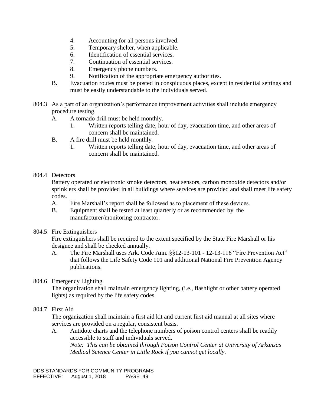- 4. Accounting for all persons involved.
- 5. Temporary shelter, when applicable.
- 6. Identification of essential services.
- 7. Continuation of essential services.
- 8. Emergency phone numbers.
- 9. Notification of the appropriate emergency authorities.
- B**.** Evacuation routes must be posted in conspicuous places, except in residential settings and must be easily understandable to the individuals served.
- 804.3 As a part of an organization's performance improvement activities shall include emergency procedure testing.
	- A. A tornado drill must be held monthly.
		- 1. Written reports telling date, hour of day, evacuation time, and other areas of concern shall be maintained.
	- B. A fire drill must be held monthly.
		- 1. Written reports telling date, hour of day, evacuation time, and other areas of concern shall be maintained.
- 804.4 Detectors

Battery operated or electronic smoke detectors, heat sensors, carbon monoxide detectors and/or sprinklers shall be provided in all buildings where services are provided and shall meet life safety codes.

- A. Fire Marshall's report shall be followed as to placement of these devices.
- B. Equipment shall be tested at least quarterly or as recommended by the manufacturer/monitoring contractor.
- 804.5 Fire Extinguishers

Fire extinguishers shall be required to the extent specified by the State Fire Marshall or his designee and shall be checked annually.

A. The Fire Marshall uses Ark. Code Ann. §§12-13-101 - 12-13-116 "Fire Prevention Act" that follows the Life Safety Code 101 and additional National Fire Prevention Agency publications.

#### 804.6 Emergency Lighting

The organization shall maintain emergency lighting, (i.e., flashlight or other battery operated lights) as required by the life safety codes.

804.7 First Aid

The organization shall maintain a first aid kit and current first aid manual at all sites where services are provided on a regular, consistent basis.

A. Antidote charts and the telephone numbers of poison control centers shall be readily accessible to staff and individuals served. *Note: This can be obtained through Poison Control Center at University of Arkansas Medical Science Center in Little Rock if you cannot get locally.*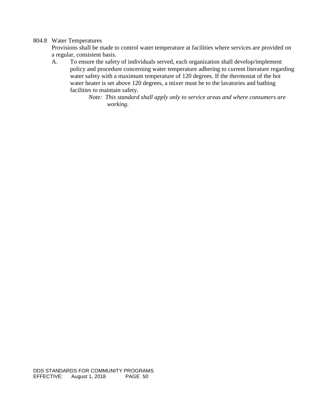### 804.8 Water Temperatures

Provisions shall be made to control water temperature at facilities where services are provided on a regular, consistent basis.

A. To ensure the safety of individuals served, each organization shall develop/implement policy and procedure concerning water temperature adhering to current literature regarding water safety with a maximum temperature of 120 degrees. If the thermostat of the hot water heater is set above 120 degrees, a mixer must be to the lavatories and bathing facilities to maintain safety.

> *Note: This standard shall apply only to service areas and where consumers are working.*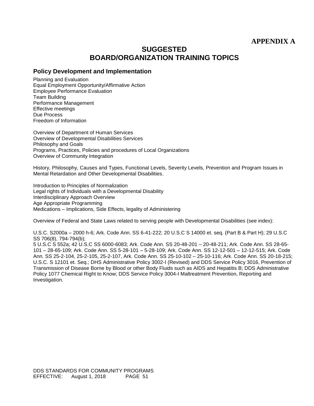### **APPENDIX A**

### **SUGGESTED BOARD/ORGANIZATION TRAINING TOPICS**

#### **Policy Development and Implementation**

Planning and Evaluation Equal Employment Opportunity/Affirmative Action Employee Performance Evaluation Team Building Performance Management Effective meetings Due Process Freedom of Information

Overview of Department of Human Services Overview of Developmental Disabilities Services Philosophy and Goals Programs, Practices, Policies and procedures of Local Organizations Overview of Community Integration

History, Philosophy, Causes and Types, Functional Levels, Severity Levels, Prevention and Program Issues in Mental Retardation and Other Developmental Disabilities.

Introduction to Principles of Normalization Legal rights of Individuals with a Developmental Disability Interdisciplinary Approach Overview Age Appropriate Programming Medications – Implications, Side Effects, legality of Administering

Overview of Federal and State Laws related to serving people with Developmental Disabilities (see index):

U.S.C. S2000a – 2000 h-6; Ark. Code Ann. SS 6-41-222; 20 U.S.C S 14000 et. seq. (Part B & Part H); 29 U.S.C SS 706(8), 794-794(b);

5 U.S.C S 552a; 42 U.S.C SS 6000-6083; Ark. Code Ann. SS 20-48-201 – 20-48-211; Ark. Code Ann. SS 28-65- 101 – 28-65-109; Ark. Code Ann. SS 5-28-101 – 5-28-109; Ark. Code Ann. SS 12-12-501 – 12-12-515; Ark. Code Ann. SS 25-2-104, 25-2-105, 25-2-107, Ark. Code Ann. SS 25-10-102 – 25-10-116; Ark. Code Ann. SS 20-18-215; U.S.C. S 12101 et. Seq.; DHS Administrative Policy 3002-I (Revised) and DDS Service Policy 3016, Prevention of Transmission of Disease Borne by Blood or other Body Fluids such as AIDS and Hepatitis B; DDS Administrative Policy 1077 Chemical Right to Know; DDS Service Policy 3004-I Maltreatment Prevention, Reporting and Investigation.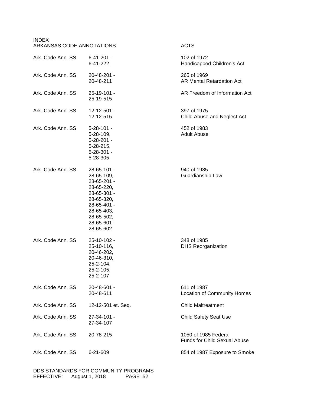| <b>INDEX</b><br>ARKANSAS CODE ANNOTATIONS |                                                                                                                                                            | <b>ACTS</b>                                                 |
|-------------------------------------------|------------------------------------------------------------------------------------------------------------------------------------------------------------|-------------------------------------------------------------|
| Ark. Code Ann. SS                         | 6-41-201 -<br>6-41-222                                                                                                                                     | 102 of 1972<br>Handicapped Children's Act                   |
| Ark. Code Ann. SS                         | 20-48-201 -<br>20-48-211                                                                                                                                   | 265 of 1969<br><b>AR Mental Retardation Act</b>             |
| Ark. Code Ann. SS                         | 25-19-101 -<br>25-19-515                                                                                                                                   | AR Freedom of Information Act                               |
| Ark. Code Ann. SS                         | 12-12-501 -<br>12-12-515                                                                                                                                   | 397 of 1975<br>Child Abuse and Neglect Act                  |
| Ark. Code Ann. SS                         | $5 - 28 - 101 -$<br>$5 - 28 - 109$ ,<br>$5 - 28 - 201 -$<br>$5 - 28 - 215$ ,<br>5-28-301 -<br>5-28-305                                                     | 452 of 1983<br><b>Adult Abuse</b>                           |
| Ark. Code Ann. SS                         | 28-65-101 -<br>28-65-109,<br>28-65-201 -<br>28-65-220,<br>28-65-301 -<br>28-65-320,<br>28-65-401 -<br>28-65-403,<br>28-65-502,<br>28-65-601 -<br>28-65-602 | 940 of 1985<br>Guardianship Law                             |
| Ark. Code Ann. SS                         | 25-10-102 -<br>25-10-116,<br>20-46-202,<br>20-46-310,<br>25-2-104,<br>25-2-105,<br>25-2-107                                                                | 348 of 1985<br><b>DHS Reorganization</b>                    |
| Ark. Code Ann. SS                         | 20-48-601 -<br>20-48-611                                                                                                                                   | 611 of 1987<br><b>Location of Community Homes</b>           |
| Ark. Code Ann. SS                         | 12-12-501 et. Seq.                                                                                                                                         | <b>Child Maltreatment</b>                                   |
| Ark. Code Ann. SS                         | 27-34-101 -<br>27-34-107                                                                                                                                   | <b>Child Safety Seat Use</b>                                |
| Ark. Code Ann. SS                         | 20-78-215                                                                                                                                                  | 1050 of 1985 Federal<br><b>Funds for Child Sexual Abuse</b> |
| Ark. Code Ann. SS                         | 6-21-609                                                                                                                                                   | 854 of 1987 Exposure to Smoke                               |